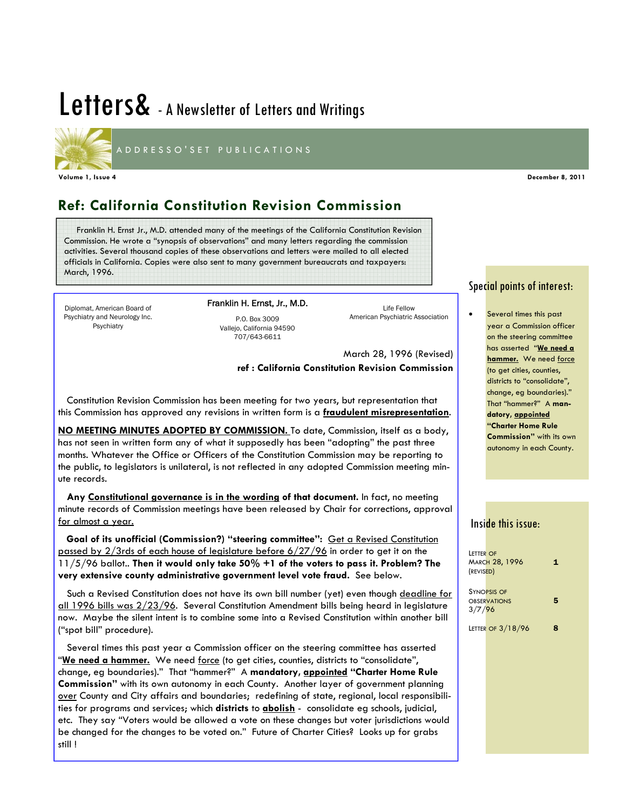# Letters& - A Newsletter of Letters and Writings



Ī

ADDRESSO'SET PUBLICATIONS

### **Ref: California Constitution Revision Commission**

 Franklin H. Ernst Jr., M.D. attended many of the meetings of the California Constitution Revision Commission. He wrote a "synopsis of observations" and many letters regarding the commission activities. Several thousand copies of these observations and letters were mailed to all elected officials in California. Copies were also sent to many government bureaucrats and taxpayers: March, 1996.

Diplomat, American Board of Psychiatry and Neurology Inc. Psychiatry

Franklin H. Ernst, Jr., M.D. P.O. Box 3009 Vallejo, California 94590

707/643-6611

Life Fellow American Psychiatric Association

March 28, 1996 (Revised) **ref : California Constitution Revision Commission**

 Constitution Revision Commission has been meeting for two years, but representation that this Commission has approved any revisions in written form is a **fraudulent misrepresentation**.

**NO MEETING MINUTES ADOPTED BY COMMISSION.** To date, Commission, itself as a body, has not seen in written form any of what it supposedly has been "adopting" the past three months. Whatever the Office or Officers of the Constitution Commission may be reporting to the public, to legislators is unilateral, is not reflected in any adopted Commission meeting minute records.

 **Any Constitutional governance is in the wording of that document.** In fact, no meeting minute records of Commission meetings have been released by Chair for corrections, approval for almost a year.

Goal of its unofficial (Commission?) "steering committee": Get a Revised Constitution passed by  $2/3$ rds of each house of legislature before  $6/27/96$  in order to get it on the 11/5/96 ballot.. **Then it would only take 50% +1 of the voters to pass it. Problem? The very extensive county administrative government level vote fraud.** See below.

 Such a Revised Constitution does not have its own bill number (yet) even though deadline for all 1996 bills was 2/23/96. Several Constitution Amendment bills being heard in legislature now. Maybe the silent intent is to combine some into a Revised Constitution within another bill ("spot bill" procedure).

 Several times this past year a Commission officer on the steering committee has asserted "We need a hammer. We need force (to get cities, counties, districts to "consolidate", change, eg boundaries)." That "hammer?" A **mandatory, appointed "Charter Home Rule Commission"** with its own autonomy in each County. Another layer of government planning over County and City affairs and boundaries; redefining of state, regional, local responsibilities for programs and services; which **districts** to **abolish** - consolidate eg schools, judicial, etc. They say "Voters would be allowed a vote on these changes but voter jurisdictions would be changed for the changes to be voted on." Future of Charter Cities? Looks up for grabs still !

### Special points of interest:

Several times this past year a Commission officer on the steering committee has asserted "**We need a hammer.** We need force (to get cities, counties, districts to "consolidate", change, eg boundaries)." That "hammer?" A **mandatory, appointed "Charter Home Rule Commission"** with its own autonomy in each County.

### Inside this issue:

| LETTER OF<br>(REVISED) | <b>MARCH 28, 1996</b>                     | 1 |
|------------------------|-------------------------------------------|---|
| 3/7/96                 | <b>SYNOPSIS OF</b><br><b>OBSERVATIONS</b> | 5 |
|                        | LETTER OF 3/18/96                         |   |

**Volume 1, Issue 4 December 8, 2011**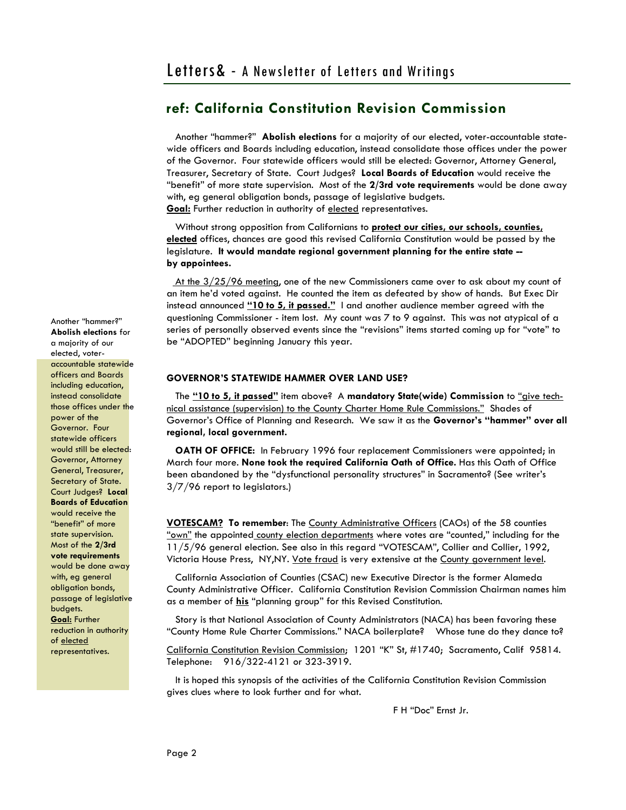Another "hammer?" **Abolish elections** for a majority of our elected, voter-accountable statewide officers and Boards including education, instead consolidate those offices under the power of the Governor. Four statewide officers would still be elected: Governor, Attorney General, Treasurer, Secretary of State. Court Judges? **Local Boards of Education** would receive the "benefit" of more state supervision. Most of the **2/3rd vote requirements** would be done away with, eg general obligation bonds, passage of legislative budgets. **Goal:** Further reduction in authority of elected representatives.

 Without strong opposition from Californians to **protect our cities, our schools, counties, elected** offices, chances are good this revised California Constitution would be passed by the legislature. **It would mandate regional government planning for the entire state - by appointees.** 

At the  $3/25/96$  meeting, one of the new Commissioners came over to ask about my count of an item he'd voted against. He counted the item as defeated by show of hands. But Exec Dir instead announced **"10 to 5, it passed."** I and another audience member agreed with the questioning Commissioner - item lost. My count was 7 to 9 against. This was not atypical of a series of personally observed events since the "revisions" items started coming up for "vote" to be "ADOPTED" beginning January this year.

### **GOVERNOR'S STATEWIDE HAMMER OVER LAND USE?**

 The **"10 to 5, it passed"** item above? A **mandatory State(wide) Commission** to "give technical assistance (supervision) to the County Charter Home Rule Commissions." Shades of Governor's Office of Planning and Research. We saw it as the **Governor's "hammer" over all regional, local government.**

 **OATH OF OFFICE:** In February 1996 four replacement Commissioners were appointed; in March four more. **None took the required California Oath of Office.** Has this Oath of Office been abandoned by the "dysfunctional personality structures" in Sacramento? (See writer's 3/7/96 report to legislators.)

**VOTESCAM? To remember**: The County Administrative Officers (CAOs) of the 58 counties "own" the appointed county election departments where votes are "counted," including for the 11/5/96 general election. See also in this regard "VOTESCAM", Collier and Collier, 1992, Victoria House Press, NY, NY. Vote fraud is very extensive at the County government level.

 California Association of Counties (CSAC) new Executive Director is the former Alameda County Administrative Officer. California Constitution Revision Commission Chairman names him as a member of **his** "planning group" for this Revised Constitution.

 Story is that National Association of County Administrators (NACA) has been favoring these "County Home Rule Charter Commissions." NACA boilerplate? Whose tune do they dance to?

California Constitution Revision Commission; 1201 "K" St, #1740; Sacramento, Calif 95814. Telephone: 916/322-4121 or 323-3919.

 It is hoped this synopsis of the activities of the California Constitution Revision Commission gives clues where to look further and for what.

F H "Doc" Ernst Jr.

Another "hammer?" **Abolish elections** for a majority of our elected, voteraccountable statewide officers and Boards including education, instead consolidate those offices under the power of the Governor. Four statewide officers would still be elected: Governor, Attorney General, Treasurer, Secretary of State. Court Judges? **Local Boards of Education** would receive the "benefit" of more state supervision. Most of the **2/3rd vote requirements** would be done away with, eg general obligation bonds, passage of legislative budgets. **Goal:** Further reduction in authority of elected representatives.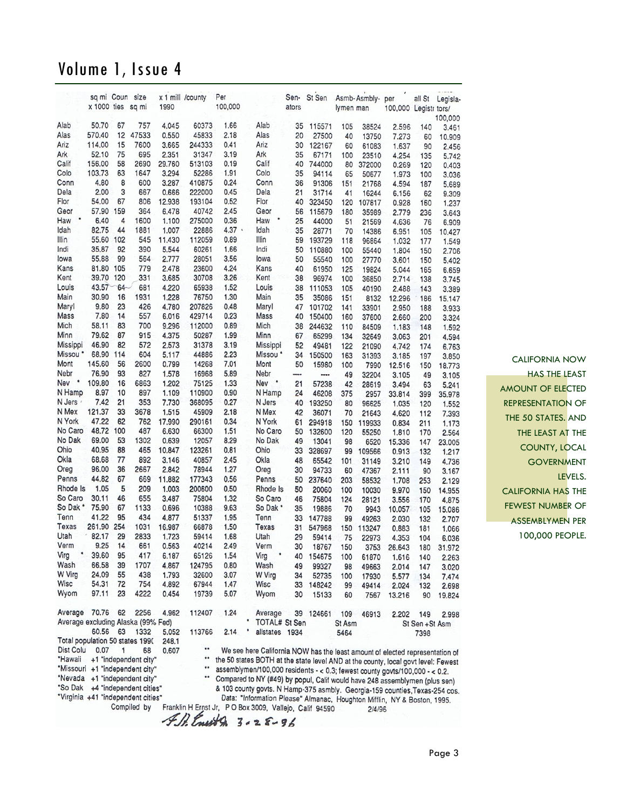|                                    | sa mi Coun<br>x 1000 ties sq mi |           | size                    | 1990            | x 1 mill /county  | Per<br>100,000 |              |                     | Sen-<br>ators  | St Sen          | lymen man  | Asmb-Asmbly-per | 100,000 Legistr tors/                                                             | all St          | Legisla-        |
|------------------------------------|---------------------------------|-----------|-------------------------|-----------------|-------------------|----------------|--------------|---------------------|----------------|-----------------|------------|-----------------|-----------------------------------------------------------------------------------|-----------------|-----------------|
|                                    |                                 |           |                         |                 |                   |                |              |                     |                |                 |            |                 |                                                                                   |                 | 100,000         |
| Alab                               | 50.70                           | 67        | 757                     | 4.045           | 60373             | 1.66           | Alab         |                     | 35             | 115571          | 105        | 38524           | 2.596                                                                             | 140             | 3.461           |
| Alas                               | 570.40                          | 12        | 47533                   | 0.550           | 45833             | 2.18           | Alas         |                     | 20             | 27500           | 40         | 13750           | 7.273                                                                             | 60              | 10.909          |
| Ariz                               | 114.00                          | 15        | 7600                    | 3.665           | 244333            | 0.41           | Ariz         |                     | 30             | 122167          | 60         | 61083           | 1.637                                                                             | 90              | 2.456           |
| Ark                                | 52.10                           | 75        | 695                     | 2.351           | 31347             | 3.19           | Ark          |                     | 35             | 67171           | 100        | 23510           | 4.254                                                                             | 135             | 5.742           |
| Calif                              | 156.00                          | 58        | 2690                    | 29.760          | 513103            | 0.19           | Calif        |                     | 40             | 744000          | 80         | 372000          | 0.269                                                                             | 120             | 0.403           |
| Colo                               | 103.73                          | 63        | 1647                    | 3.294           | 52286             | 1.91           | Colo         |                     | 35             | 94114           | 65         | 50677           | 1.973                                                                             | 100             | 3.036           |
| Conn                               | 4.80                            | 8<br>3    | 600                     | 3.287           | 410875            | 0.24           |              | Conn                | 36             | 91306           | 151        | 21768           | 4.594                                                                             | 187             | 5.689           |
| Dela<br>Flor                       | 2.00<br>54.00                   | 67        | 667<br>806              | 0.666<br>12.938 | 222000<br>193104  | 0.45<br>0.52   | Dela<br>Flor |                     | 21<br>40       | 31714<br>323450 | 41         | 16244           | 6.156                                                                             | 62              | 9.309           |
| Geor                               | 57.90                           | 159       | 364                     | 6.478           | 40742             | 2.45           | Geor         |                     | 56             | 115679          | 120<br>180 | 107817          | 0.928                                                                             | 160             | 1.237           |
| ٠<br>Haw                           | 6.40                            | 4         | 1600                    | 1.100           | 275000            | 0.36           | Haw          |                     | 25             | 44000           | 51         | 35989<br>21569  | 2.779<br>4.636                                                                    | 236<br>76       | 3.643<br>6.909  |
| Idah                               | 82.75                           | 44        | 1881                    | 1.007           | 22886             | 4.37           | Idah         |                     | 35             | 28771           | 70         | 14386           | 6.951                                                                             | 105             |                 |
| Illin                              | 55.60                           | 102       | 545                     | 11.430          | 112059            | 0.89           | Illin        |                     | 59             | 193729          | 118        | 96864           | 1.032                                                                             | 177             | 10.427<br>1.549 |
| Indi                               | 35.87                           | 92        | 390                     | 5.544           | 60261             | 1.66           | Indi         |                     | 50             | 110880          | 100        | 55440           | 1.804                                                                             | 150             | 2.706           |
| lowa                               | 55.88                           | 99        | 564                     | 2.777           | 28051             | 3.56           |              | lowa                | 50             | 55540           | 100        | 27770           | 3.601                                                                             | 150             | 5.402           |
| Kans                               | 81.80                           | 105       | 779                     | 2.478           | 23600             | 4.24           |              | Kans                | 40             | 61950           | 125        | 19824           | 5.044                                                                             | 165             | 6.659           |
| Kent                               | 39.70                           | 120       | 331                     | 3.685           | 30708             | 3.26           | Kent         |                     | 38             | 96974           | 100        | 36850           | 2.714                                                                             | 138             | 3.745           |
| Louis                              | 43.57                           | 64        | 681                     | 4.220           | 65938             | 1.52           |              | Louis               | 38             | 111053          | 105        | 40190           | 2.488                                                                             | 143             | 3.389           |
| Main                               | 30.90                           | 16        | 1931                    | 1.228           | 76750             | 1.30           |              | Main                | 35             | 35086           | 151        | 8132            | 12.296                                                                            | 186             | 15.147          |
| Maryl                              | 9.80                            | 23        | 426                     | 4.780           | 207826            | 0.48           |              | Maryl               | 47             | 101702          | 141        | 33901           | 2.950                                                                             | 188             | 3.933           |
| Mass                               | 7.80                            | 14        | 557                     | 6.016           | 429714            | 0.23           |              | Mass                | 40             | 150400          | 160        | 37600           | 2.660                                                                             | 200             | 3.324           |
| Mich                               | 58.11                           | 83        | 700                     | 9.296           | 112000            | 0.89           | Mich         |                     | 38             | 244632          | 110        | 84509           | 1.183                                                                             | 148             | 1.592           |
| Minn                               | 79.62                           | 87        | 915                     | 4.375           | 50287             | 1.99           | Minn         |                     | 67             | 65299           | 134        | 32649           | 3.063                                                                             | 201             | 4.594           |
| Missippi                           | 46.90                           | 82        | 572                     | 2.573           | 31378             | 3.19           |              | Missippi            | 52             | 49481           | 122        | 21090           | 4.742                                                                             | 174             | 6.763           |
| Missou *                           | 68.90                           | 114       | 604                     | 5.117           | 44886             | 2.23           |              | Missou <sup>*</sup> | 34             | 150500          | 163        | 31393           | 3.185                                                                             | 197             | 3.850           |
| Mont                               | 145.60                          | 56        | 2600                    | 0.799           | 14268             | 7.01           |              | Mont                | 50             | 15980           | 100        | 7990            | 12.516                                                                            | 150             | 18.773          |
| Nebr                               | 76.90                           | 93        | 827                     | 1.578           | 16968             | 5.89           | Nebr         |                     | ---            |                 | 49         | 32204           | 3.105                                                                             | 49              | 3.105           |
| ۰<br>Nev                           | 109.80                          | 16        | 6863                    | 1.202           | 75125             | 1.33           | Nev          | ٠                   | 21             | 57238           | 42         | 28619           | 3.494                                                                             | 63              | 5.241           |
| N Hamp                             | 8.97                            | 10        | 897                     | 1.109           | 110900            | 0.90           |              | N Hamp              | 24             | 46208           | 375        | 2957            | 33.814                                                                            | 399             | 35.978          |
| N Jers                             | 7.42                            | 21        | 353                     | 7.730           | 368095            | 0.27           |              | N Jers              | 40             | 193250          | 80         | 96625           | 1.035                                                                             | 120             | 1.552           |
| N Mex                              | 121.37                          | 33        | 3678                    | 1.515           | 45909             | 2.18           |              | N Mex               | 42             | 36071           | 70         | 21643           | 4.620                                                                             | 112             | 7.393           |
| N York<br>No Caro                  | 47.22<br>48.72                  | 62<br>100 | 762<br>487              | 17.990          | 290161            | 0.34           |              | N York              | 61             | 294918          | 150        | 119933          | 0.834                                                                             | 211             | 1.173           |
| No Dak                             | 69.00                           | 53        | 1302                    | 6.630<br>0.639  | 66300<br>12057    | 1.51<br>8.29   |              | No Caro<br>No Dak   | 50             | 132600          | 120        | 55250           | 1.810                                                                             | 170             | 2.564           |
| Ohio                               | 40.95                           | 88        | 465                     | 10.847          | 123261            | 0.81           | Ohio         |                     | 49<br>33       | 13041<br>328697 | 98         | 6520            | 15.336                                                                            | 147             | 23.005          |
| Okla                               | 68.68                           | 77        | 892                     | 3.146           | 40857             | 2.45           | Okla         |                     | 48             | 65542           | 99<br>101  | 109566          | 0.913                                                                             | 132             | 1.217           |
| Oreg                               | 96.00                           | 36        | 2667                    | 2.842           | 78944             | 1.27           | Oreg         |                     | 30             | 94733           | 60         | 31149<br>47367  | 3.210<br>2.111                                                                    | 149<br>90       | 4.736           |
| Penns                              | 44.82                           | 67        | 669                     | 11.882          | 177343            | 0.56           |              | Penns               | 50             | 237640          | 203        | 58532           | 1.708                                                                             | 253             | 3.167<br>2.129  |
| Rhode Is                           | 1.05                            | 5         | 209                     | 1.003           | 200600            | 0.50           |              | Rhode Is            | 50             | 20060           | 100        | 10030           | 9.970                                                                             | 150             | 14.955          |
| So Caro                            | 30.11                           | 46        | 655                     | 3.487           | 75804             | 1.32           |              | So Caro             | 46             | 75804           | 124        | 28121           | 3.556                                                                             | 170             | 4.875           |
| So Dak *                           | 75.90                           | 67        | 1133                    | 0.696           | 10388             | 9.63           |              | So Dak *            | 35             | 19886           | 70         | 9943            | 10.057                                                                            | 105             | 15.086          |
| Tenn                               | 41.22                           | 95        | 434                     | 4.877           | 51337             | 1.95           | Tenn         |                     | 33             | 147788          | 99         | 49263           | 2.030                                                                             | 132             | 2.707           |
| <b>Texas</b>                       | 261.90                          | 254       | 1031                    | 16.987          | 66878             | 1.50           |              | Texas               | 31             | 547968          | 150        | 113247          | 0.883                                                                             | 181             | 1.066           |
| Utah                               | 82.17                           | 29        | 2833                    | 1.723           | 59414             | 1.68           | Utah         |                     | 29             | 59414           | 75         | 22973           | 4.353                                                                             | 104             | 6.036           |
| Verm                               | 9.25                            | 14        | 661                     | 0.563           | 40214             | 2.49           |              | Verm                | 30             | 18767           | 150        | 3753            | 26.643                                                                            | 180             | 31.972          |
| Virg                               | 39.60                           | 95        | 417                     | 6.187           | 65126             | 1.54           | Virg         | ۰                   | 40             | 154675          | 100        | 61870           | 1.616                                                                             | 140             | 2.263           |
| Wash                               | 66.58                           | 39        | 1707                    | 4.867           | 124795            | 0.80           |              | Wash                | 49             | 99327           | 98         | 49663           | 2.014                                                                             | 147             | 3.020           |
| <b>W</b> Virg                      | 24.09                           | 55        | 438                     | 1.793           | 32600             | 3.07           |              | <b>W</b> Virg       | 34             | 52735           | 100        | 17930           | 5.577                                                                             | 134             | 7.474           |
| Wisc                               | 54.31                           | 72        | 754                     | 4.892           | 67944             | 1.47           | Wisc         |                     | 33             | 148242          | 99         | 49414           | 2.024                                                                             | 132             | 2.698           |
| Wyom                               | 97.11                           | 23        | 4222                    | 0.454           | 19739             | 5.07           |              | Wyom                | 30             | 15133           | 60         | 7567            | 13.216                                                                            | 90              | 19.824          |
|                                    |                                 |           |                         |                 |                   |                |              |                     |                |                 |            |                 |                                                                                   |                 |                 |
| Average                            | 70.76                           | 62        | 2256                    | 4.962           | 112407            | 1.24           |              | Average             |                | 39 124661       | 109        | 46913           | 2.202                                                                             | 149             | 2.998           |
| Average excluding Alaska (99% Fed) |                                 |           |                         |                 |                   |                |              |                     | TOTAL# St Sen  |                 | St Asm     |                 |                                                                                   | St Sen + St Asm |                 |
| Total population 50 states 1990    | 60.56                           | 63        | 1332                    | 5.052<br>248.1  | 113766            | 2.14           |              |                     | allstates 1934 |                 | 5464       |                 |                                                                                   | 7398            |                 |
| Dist Colu                          | 0.07                            | 1         | 68                      | 0.607           | $\bullet \bullet$ |                |              |                     |                |                 |            |                 | We see here California NOW has the least amount of elected representation of      |                 |                 |
| <b>'Hawaii</b>                     |                                 |           | +1 "independent city"   |                 |                   |                |              |                     |                |                 |            |                 | the 50 states BOTH at the state level AND at the county, local govt level: Fewest |                 |                 |
| "Missouri +1 "independent city"    |                                 |           |                         |                 |                   |                |              |                     |                |                 |            |                 | assemblymen/100,000 residents - < 0.3; fewest county govts/100,000 - < 0.2.       |                 |                 |
| *Nevada                            |                                 |           | $+1$ "independent city" |                 |                   |                |              |                     |                |                 |            |                 | Compared to NY (#49) by popul, Calif would have 248 assemblymen (plus sen)        |                 |                 |
| *So Dak                            |                                 |           | +4 "independent cities" |                 |                   |                |              |                     |                |                 |            |                 | & 103 county govts. N Hamp-375 asmbly. Georgia-159 counties, Texas-254 cos.       |                 |                 |

Virginia +41 "independent cities"<br>Data: "Information Please" Almanac, Houghton Mifflin, NY & Boston, 1995.<br>Compiled by Franklin H Ernst Jr, PO Box 3009, Vallejo, Calif 94590 2/4/96<br>Compiled by Franklin H Ernst Jr, PO Box 3

CALIFORNIA NOW HAS THE LEAST AMOUNT OF ELECTED REPRESENTATION OF THE 50 STATES. AND THE LEAST AT THE COUNTY, LOCAL **GOVERNMENT** 

LEVELS.

CALIFORNIA HAS THE FEWEST NUMBER OF ASSEMBLYMEN PER 100,000 PEOPLE.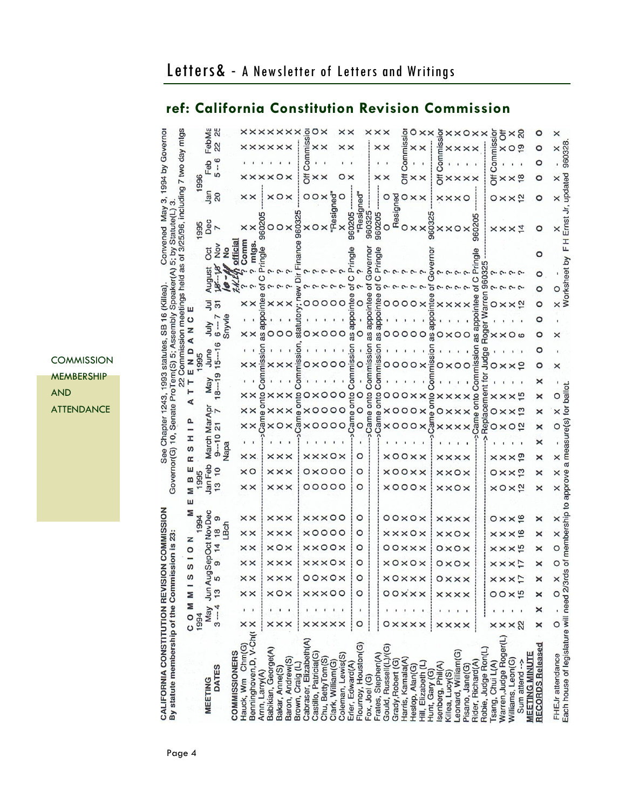|                                                                  |                           |      | FebMa            | ξî              |                      |     |                                                              |                |                     |                      | <b>xxxxxxxx</b>      |                  | $\circ$                |                       | oχ               |                    |                      | $\times\times$   |                      | ×             | $\times\times$     |                       |                               | $\overline{\mathsf{c}}$ |                   |                     |                | ē                | ×                         |                    | $\times$ O $\times$  |                   | $\times$            |                       | ð                          |                   | $\times 8$                          |                       | o                       | ×                |                                        |
|------------------------------------------------------------------|---------------------------|------|------------------|-----------------|----------------------|-----|--------------------------------------------------------------|----------------|---------------------|----------------------|----------------------|------------------|------------------------|-----------------------|------------------|--------------------|----------------------|------------------|----------------------|---------------|--------------------|-----------------------|-------------------------------|-------------------------|-------------------|---------------------|----------------|------------------|---------------------------|--------------------|----------------------|-------------------|---------------------|-----------------------|----------------------------|-------------------|-------------------------------------|-----------------------|-------------------------|------------------|----------------------------------------|
| Governo                                                          |                           |      |                  | $\approx$       |                      |     |                                                              |                |                     | <b>xxxxxx</b>        |                      |                  | Commiss                |                       | $\times\times$   |                    |                      | $\times\times$   |                      |               |                    | $\times\times$        |                               |                         |                   |                     |                |                  |                           |                    | $\times\times\times$ |                   |                     | mission               | ×                          |                   | $O_{2}$                             |                       | o                       |                  |                                        |
| $\geq$                                                           |                           |      | Feb              | $-6$            |                      |     |                                                              |                |                     |                      |                      |                  |                        |                       |                  |                    |                      |                  |                      |               |                    |                       |                               | Com                     |                   |                     |                | ö                |                           |                    |                      |                   |                     | ē                     |                            |                   |                                     |                       | o                       |                  |                                        |
|                                                                  |                           | 1996 |                  | LO <sub>1</sub> |                      |     | $\times\times$                                               |                |                     | $\times$ O $\times$  |                      |                  | ă                      | ×                     | ×                |                    | O                    | ×                |                      |               |                    | $\times\times$        |                               | ð                       | $\times\times$    |                     |                | ਠ៊               | ×                         |                    | $\times\times\times$ |                   |                     | 둥                     | ×                          |                   | $\times\frac{8}{5}$                 |                       | o                       |                  |                                        |
| uding 7 two day mtgs                                             |                           |      | Jan              | $\overline{20}$ |                      |     | $\times\times$                                               |                |                     |                      |                      |                  |                        |                       |                  |                    |                      |                  |                      |               |                    |                       |                               |                         | $\times\times$    |                     |                |                  |                           |                    |                      |                   |                     |                       | $0 \times \times 2$        |                   |                                     |                       |                         |                  |                                        |
| May 3                                                            |                           |      |                  |                 |                      |     |                                                              |                |                     |                      |                      |                  |                        |                       |                  | x<br>"Resigned"    |                      |                  | "Resigned            |               |                    |                       | Resigned                      |                         |                   |                     |                |                  |                           |                    |                      |                   |                     |                       |                            |                   |                                     |                       |                         |                  |                                        |
|                                                                  |                           | 995  | Dec              | 7               |                      |     |                                                              |                |                     |                      |                      |                  |                        | O                     |                  |                    |                      | 960205           |                      | 960325        | 360205             |                       |                               | O                       | $\times\times$    |                     |                |                  |                           |                    |                      |                   |                     |                       | $\times\times\times$ 4     |                   |                                     |                       |                         |                  |                                        |
| 25/96                                                            |                           |      |                  |                 |                      |     |                                                              |                |                     |                      |                      |                  |                        |                       |                  |                    |                      |                  |                      |               |                    |                       |                               |                         |                   |                     | 60             |                  |                           |                    |                      | 9602              |                     |                       |                            |                   |                                     |                       |                         |                  |                                        |
| Convened<br>5: by                                                |                           |      | ö                | $\frac{8}{2}$   | officia<br>ş         | omn | mtgs                                                         |                |                     |                      |                      |                  |                        |                       |                  |                    |                      |                  |                      |               |                    |                       |                               |                         |                   |                     |                |                  |                           |                    |                      |                   |                     |                       |                            |                   |                                     |                       | o                       |                  |                                        |
| as of                                                            |                           |      |                  |                 |                      |     |                                                              |                |                     |                      |                      |                  |                        |                       |                  |                    |                      |                  |                      |               |                    |                       |                               |                         |                   |                     |                |                  |                           |                    |                      | ۲ī                | <b>132</b>          |                       |                            |                   |                                     |                       |                         |                  |                                        |
| <b>Speaker(A)</b>                                                |                           |      | August           |                 |                      |     |                                                              |                |                     |                      |                      |                  |                        |                       |                  |                    |                      | ŏ                |                      |               |                    |                       |                               |                         |                   |                     |                |                  |                           |                    |                      |                   |                     |                       |                            |                   |                                     |                       |                         |                  | Worksheet                              |
| meetings he<br>(Killea)                                          |                           |      |                  |                 |                      |     |                                                              |                |                     |                      |                      |                  |                        |                       |                  |                    |                      | ntee             |                      |               |                    |                       |                               |                         |                   |                     | nte            |                  |                           |                    |                      | ō                 | arren 960           |                       |                            |                   |                                     |                       |                         |                  |                                        |
|                                                                  |                           |      | 弖                | 51              |                      |     | $\times\times$                                               |                |                     |                      | $\times\times$       |                  | O                      | O                     | $\circ$          | $\circ$            |                      |                  |                      | as appointee  |                    |                       | 000                           |                         | $\circ$           |                     |                |                  |                           |                    |                      |                   |                     | $\circ$ $\times$      |                            |                   | $\times \overline{5}$               |                       | o                       |                  |                                        |
| SB 16                                                            | ပ<br>Z                    |      | July             | $6 - 7$         | Snyvle               |     |                                                              |                |                     |                      |                      |                  |                        |                       |                  |                    |                      | as appoi         |                      |               | as appo            |                       |                               |                         |                   |                     |                |                  |                           |                    |                      |                   | Roger <sub>N</sub>  |                       |                            |                   |                                     |                       | o                       |                  |                                        |
| Assembly                                                         |                           |      |                  | ဖ               |                      |     | $\times\times$                                               | as a           |                     | $\circ$              |                      |                  | O                      |                       |                  |                    | $\times$ 000         |                  | $\circ$              |               |                    |                       | 00000                         |                         |                   |                     |                |                  | $80\times00$              |                    |                      | as a              |                     | $\times\times$        |                            |                   | $\circ$                             |                       | o                       | ×                |                                        |
| 1993 statutes.                                                   | $\frac{a}{z}$             |      | June             | $15 - 1$        |                      |     |                                                              | nission        |                     |                      |                      |                  |                        |                       |                  |                    |                      | Commission       |                      | Commission    | commission         |                       |                               |                         |                   |                     | o              |                  |                           |                    |                      | nission           | Judge               |                       |                            |                   |                                     |                       |                         |                  |                                        |
|                                                                  |                           |      |                  | o               |                      |     |                                                              |                |                     |                      |                      |                  |                        |                       |                  |                    |                      |                  |                      |               |                    |                       | $\circ$                       | O                       |                   |                     |                | O                | ×                         |                    |                      |                   |                     |                       |                            |                   | $\times 2$                          |                       | o                       | ×                |                                        |
|                                                                  | ⊢                         |      | <b>May</b>       | $18 - -1$       |                      |     |                                                              |                |                     |                      |                      |                  |                        |                       |                  |                    |                      |                  |                      |               |                    |                       |                               |                         |                   |                     |                |                  |                           |                    |                      |                   | Replacement for     |                       |                            |                   |                                     |                       | ×                       |                  |                                        |
|                                                                  | ۳<br>∢                    |      |                  |                 |                      |     |                                                              | ito            |                     |                      |                      |                  |                        |                       |                  |                    |                      | $\frac{1}{2}$    |                      |               |                    |                       | O                             |                         | $0 \times \times$ |                     | $\mathbf{a}$   | $\times$         |                           |                    |                      |                   |                     | $\times\times$        |                            |                   | $\times\bar{5}$                     |                       | ×                       |                  |                                        |
|                                                                  |                           |      |                  |                 |                      | ×   |                                                              |                |                     |                      |                      |                  |                        | O                     | O                | $\circ$            | $\circ$              | ne on            | $\circ$              | came onto     | came onto          |                       | $\times$ O                    | $\circ$                 | $\circ$ $\times$  |                     |                | O                |                           |                    |                      | came onto         |                     |                       |                            |                   | $\times$ $\overline{2}$             |                       | ×                       |                  |                                        |
|                                                                  | o.                        |      |                  | Z               |                      |     |                                                              |                |                     |                      |                      |                  |                        |                       |                  | $\circ$            |                      | $\mathsf{Can}$   | $\circ$              |               |                    |                       | $\times$ O                    | $\circ$                 | O                 |                     |                |                  |                           |                    |                      |                   |                     |                       |                            |                   | O <sub>2</sub>                      |                       | ×                       |                  |                                        |
| Governor(G) 10, Senate ProTem(S)<br>See Chapter 1243.            | I                         |      | March MarApr     | $9 - 10$        |                      |     |                                                              |                |                     |                      |                      |                  |                        |                       |                  |                    |                      |                  |                      |               |                    |                       |                               |                         |                   |                     |                |                  |                           |                    |                      |                   |                     |                       |                            |                   |                                     |                       | ×                       |                  |                                        |
|                                                                  | ဖာ<br>œ                   |      |                  |                 | Napa                 |     | $\times\times$                                               |                |                     |                      | $\times\times\times$ |                  |                        |                       |                  |                    | <b>xxx0x</b>         |                  | O                    |               |                    |                       | $\times$ 00 $\times$ $\times$ |                         |                   |                     |                |                  | <b>xxxx</b>               |                    |                      |                   |                     |                       |                            |                   | $x \times x$ $\infty$               |                       | ×                       |                  |                                        |
|                                                                  | ш                         |      |                  | $\overline{10}$ |                      |     | $\times$ O                                                   |                |                     | $\times\times\times$ |                      |                  |                        |                       |                  | $0\times0$ $0$ $0$ |                      |                  | O                    |               |                    |                       | <b>xOOXX</b>                  |                         |                   |                     |                |                  | $\times\times$            |                    |                      |                   |                     |                       |                            |                   | $0 \times \times 2$                 |                       | ×                       |                  |                                        |
|                                                                  | M <sub>B</sub>            | 1995 | Jan Feb          | $\frac{3}{2}$   |                      |     | $\times\times$                                               |                |                     |                      | $\times\times\times$ |                  |                        |                       |                  |                    | 00000                |                  | O                    |               |                    |                       | $\times$ 000 $\times$         |                         |                   |                     |                |                  | <b>xxox</b>               |                    |                      |                   |                     |                       |                            |                   | $\times$ $\alpha$ $\times$ $\alpha$ |                       | ×                       |                  |                                        |
|                                                                  |                           |      |                  |                 |                      |     |                                                              |                |                     |                      |                      |                  |                        |                       |                  |                    |                      |                  |                      |               |                    |                       |                               |                         |                   |                     |                |                  |                           |                    |                      |                   |                     |                       |                            |                   |                                     |                       |                         |                  |                                        |
|                                                                  |                           |      |                  | თ               |                      |     | $\times\times$                                               |                |                     |                      | $\times\times\times$ |                  |                        |                       |                  |                    | <b>xxx00</b>         |                  | $\circ$              |               |                    |                       | $00 \times 0 \times$          |                         |                   |                     |                |                  | <b>xxxx</b>               |                    |                      |                   |                     | $0 \times \times 9$   |                            |                   |                                     |                       |                         |                  |                                        |
| <b>SION COMMISS</b>                                              |                           | 1994 | AugSepOct NovDer | $\frac{8}{2}$   | LBch                 |     | $\times\times$                                               |                |                     | $\times\times\times$ |                      |                  |                        |                       |                  | ×0000              |                      |                  | 0                    |               |                    |                       | <b>xxx0x</b>                  |                         |                   |                     |                |                  | $\times\times\circ\times$ |                    |                      |                   |                     | $x \times x \times 9$ |                            |                   |                                     |                       | ×                       |                  |                                        |
|                                                                  | z<br>$\circ$              |      |                  |                 |                      |     | $\times\times$                                               |                |                     | $\times$ O $\times$  |                      |                  |                        |                       |                  |                    | <b>xx00x</b>         |                  | O                    |               |                    |                       | 00xxx                         |                         |                   |                     |                |                  | $0 \times 0 \times$       |                    |                      |                   |                     | $x \times x \times$   |                            |                   |                                     |                       | ×                       |                  |                                        |
|                                                                  | $\boldsymbol{\mathsf{S}}$ |      |                  | თ               |                      |     | $\times\times$                                               |                |                     | $\times\times\times$ |                      |                  |                        |                       |                  |                    | <b>xxx0x</b>         |                  | O                    |               |                    |                       | O                             |                         | $\circ$ $\times$  |                     |                |                  | $0 \times 0 \times$       |                    |                      |                   |                     |                       | $\times\times\times\Gamma$ |                   |                                     |                       | ×                       |                  |                                        |
| mission is 23                                                    | ဖာ                        |      |                  |                 |                      |     | $\times\times$                                               |                |                     | $\times\times\times$ |                      |                  |                        |                       |                  |                    | $00 \times 0 \times$ |                  | 0                    |               |                    |                       | <b>xOxxx</b>                  |                         |                   |                     |                |                  | $0 \times \times \times$  |                    |                      |                   |                     | $x \times x \times y$ |                            |                   |                                     |                       | ×                       |                  |                                        |
|                                                                  |                           |      | Jun              | 13              |                      |     | $\times\times$                                               |                |                     | ×о                   | $\times$             |                  |                        | $\times\times$        |                  | $\times$ O         | O                    |                  | O                    |               |                    |                       |                               |                         |                   |                     |                | ×                |                           | $\times\times$     |                      |                   |                     |                       |                            |                   | $\overline{5}$                      |                       |                         | $\circ$          |                                        |
|                                                                  |                           |      |                  |                 |                      |     |                                                              |                |                     |                      |                      |                  |                        |                       |                  |                    |                      |                  |                      |               |                    |                       |                               |                         |                   |                     |                |                  |                           |                    |                      |                   |                     |                       |                            |                   |                                     |                       | ×                       |                  |                                        |
|                                                                  | <b>COMM</b>               | 1994 | May              | $3 - 4$         |                      |     |                                                              |                | ×                   |                      |                      |                  |                        |                       |                  |                    |                      |                  | O                    |               |                    |                       |                               |                         |                   |                     |                |                  |                           |                    |                      |                   |                     |                       |                            |                   |                                     |                       |                         | O                |                                        |
|                                                                  |                           |      |                  |                 |                      |     |                                                              |                |                     |                      |                      |                  |                        |                       |                  |                    |                      |                  |                      |               |                    |                       |                               |                         |                   |                     |                |                  | ×                         | ×                  | $\times$             |                   |                     |                       |                            |                   | $\mathbf{z}$                        |                       | ×                       |                  |                                        |
|                                                                  |                           |      |                  |                 |                      |     |                                                              |                |                     |                      |                      |                  |                        |                       |                  |                    |                      |                  |                      |               |                    |                       |                               |                         |                   |                     |                |                  |                           |                    |                      |                   |                     |                       |                            |                   |                                     |                       |                         |                  |                                        |
|                                                                  |                           |      |                  |                 |                      |     |                                                              |                |                     |                      |                      |                  |                        |                       |                  |                    |                      |                  |                      |               |                    |                       |                               |                         |                   |                     |                |                  |                           |                    |                      |                   |                     |                       |                            |                   |                                     |                       |                         |                  |                                        |
|                                                                  |                           |      |                  | DATES           |                      |     |                                                              |                |                     |                      |                      |                  |                        |                       |                  |                    |                      |                  |                      |               |                    |                       |                               |                         |                   |                     |                |                  |                           |                    |                      |                   |                     |                       |                            |                   |                                     |                       |                         |                  |                                        |
|                                                                  |                           |      |                  |                 |                      |     |                                                              |                |                     |                      |                      |                  |                        |                       |                  |                    |                      |                  |                      |               |                    |                       |                               |                         |                   |                     |                |                  |                           |                    |                      |                   |                     |                       |                            |                   |                                     |                       |                         |                  |                                        |
| CALIFORNIA CONSTITUTION REVI<br>By statute membership of the Com |                           |      | <b>MEETING</b>   |                 | <b>COMMISSIONERS</b> |     | א Chininghoven, V-Chini<br>Benninghoven, D, V-Chini X<br>Arm | Arnn, Larry(A) | Babikian, George(A) | Bakar, Anne(S)       | Baron, Andrew(S)     | Brown, Craig (L) | Cabraser, Elizabeth(A) | Castillo, Patricia(G) | Chu, BettyTom(S) | Clark, William(G)  | Coleman, Lewis(S)    | Erler, Edward(A) | Flournoy, Houston(G) | Fox, Joel (G) | Frates, Stephen(A) | Gould, Russell(L)/(G) | Grady, Robert (G)             | Harris, Kamala(A)       | Heslop, Alan(G)   | Hill, Elizabeth (L) | Hunt, Gary (G) | senberg, Phil(A) | Killea, Lucy(S)           | eonard, William(G) | Pisano, Jane(G)      | Rider, Richard(A) | Robie, Judge Ron(L) | Tsang, Chui L(A)      | Warren, Judge Roger(L)     | Williams, Leon(G) | Sum attend -->                      | <b>MEETING MINUTE</b> | <b>RECORDS Released</b> | FHEJr attendance | Each house of legislature will need 2/ |
|                                                                  |                           |      |                  |                 |                      |     |                                                              |                |                     |                      |                      |                  |                        |                       |                  |                    |                      |                  |                      |               |                    |                       |                               |                         |                   |                     |                |                  |                           |                    |                      |                   |                     |                       |                            |                   |                                     |                       |                         |                  |                                        |

COMMISSION MEMBERSHIP AND ATTENDANCE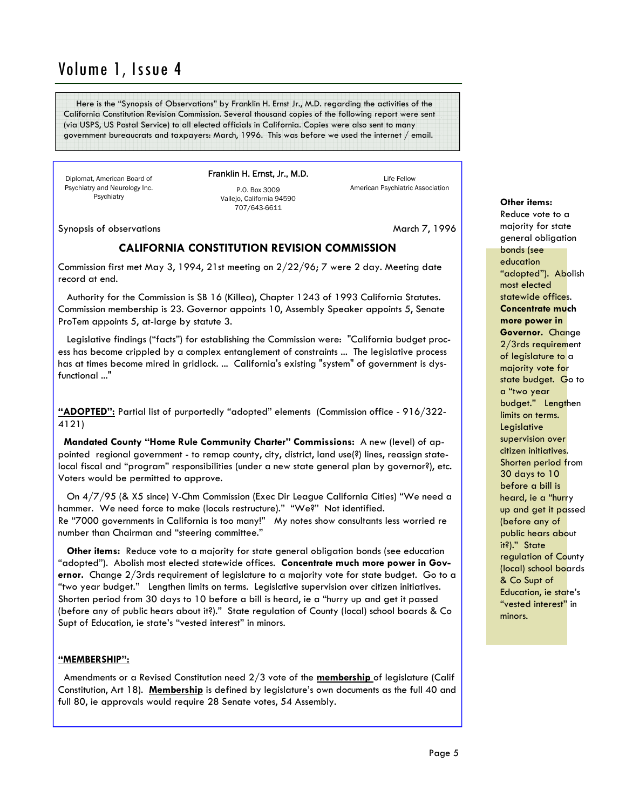Here is the "Synopsis of Observations" by Franklin H. Ernst Jr., M.D. regarding the activities of the California Constitution Revision Commission. Several thousand copies of the following report were sent (via USPS, US Postal Service) to all elected officials in California. Copies were also sent to many government bureaucrats and taxpayers: March, 1996. This was before we used the internet / email.

Diplomat, American Board of Psychiatry and Neurology Inc. **Psychiatry** 

Franklin H. Ernst, Jr., M.D. P.O. Box 3009

> Vallejo, California 94590 707/643-6611

Life Fellow American Psychiatric Association

Synopsis of observations March 7, 1996

### **CALIFORNIA CONSTITUTION REVISION COMMISSION**

Commission first met May 3, 1994, 21st meeting on 2/22/96; 7 were 2 day. Meeting date record at end.

 Authority for the Commission is SB 16 (Killea), Chapter 1243 of 1993 California Statutes. Commission membership is 23. Governor appoints 10, Assembly Speaker appoints 5, Senate ProTem appoints 5, at-large by statute 3.

 Legislative findings ("facts") for establishing the Commission were: "California budget process has become crippled by a complex entanglement of constraints ... The legislative process has at times become mired in gridlock. ... California's existing "system" of government is dysfunctional ..."

**"ADOPTED":** Partial list of purportedly "adopted" elements (Commission office - 916/322- 4121)

 **Mandated County "Home Rule Community Charter" Commissions:** A new (level) of appointed regional government - to remap county, city, district, land use(?) lines, reassign statelocal fiscal and "program" responsibilities (under a new state general plan by governor?), etc. Voters would be permitted to approve.

 On 4/7/95 (& X5 since) V-Chm Commission (Exec Dir League California Cities) "We need a hammer. We need force to make (locals restructure)." "We?" Not identified. Re "7000 governments in California is too many!" My notes show consultants less worried re number than Chairman and "steering committee."

 **Other items:** Reduce vote to a majority for state general obligation bonds (see education "adopted"). Abolish most elected statewide offices. **Concentrate much more power in Governor.** Change 2/3rds requirement of legislature to a majority vote for state budget. Go to a "two year budget." Lengthen limits on terms. Legislative supervision over citizen initiatives. Shorten period from 30 days to 10 before a bill is heard, ie a "hurry up and get it passed (before any of public hears about it?)." State regulation of County (local) school boards & Co Supt of Education, ie state's "vested interest" in minors.

### **"MEMBERSHIP":**

 Amendments or a Revised Constitution need 2/3 vote of the **membership** of legislature (Calif Constitution, Art 18). **Membership** is defined by legislature's own documents as the full 40 and full 80, ie approvals would require 28 Senate votes, 54 Assembly.

### **Other items:**

Reduce vote to a majority for state general obligation bonds (see education "adopted"). Abolish most elected statewide offices. **Concentrate much more power in Governor.** Change 2/3rds requirement of legislature to a majority vote for state budget. Go to a "two year budget." Lengthen limits on terms. Legislative supervision over citizen initiatives. Shorten period from 30 days to 10 before a bill is heard, ie a "hurry up and get it passed (before any of public hears about it?)." State regulation of County (local) school boards & Co Supt of Education, ie state's "vested interest" in minors.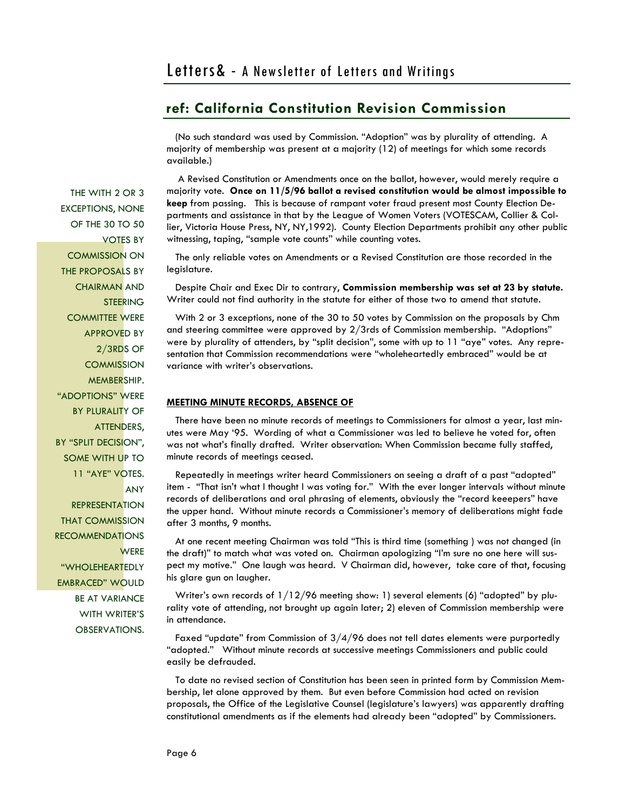(No such standard was used by Commission. "Adoption" was by plurality of attending. A majority of membership was present at a majority (12) of meetings for which some records available.)

 A Revised Constitution or Amendments once on the ballot, however, would merely require a majority vote. **Once on 11/5/96 ballot a revised constitution would be almost impossible to keep** from passing. This is because of rampant voter fraud present most County Election Departments and assistance in that by the League of Women Voters (VOTESCAM, Collier & Collier, Victoria House Press, NY, NY,1992). County Election Departments prohibit any other public witnessing, taping, "sample vote counts" while counting votes.

 The only reliable votes on Amendments or a Revised Constitution are those recorded in the legislature.

 Despite Chair and Exec Dir to contrary, **Commission membership was set at 23 by statute.** Writer could not find authority in the statute for either of those two to amend that statute.

 With 2 or 3 exceptions, none of the 30 to 50 votes by Commission on the proposals by Chm and steering committee were approved by 2/3rds of Commission membership. "Adoptions" were by plurality of attenders, by "split decision", some with up to 11 "aye" votes. Any representation that Commission recommendations were "wholeheartedly embraced" would be at variance with writer's observations.

### **MEETING MINUTE RECORDS, ABSENCE OF**

 There have been no minute records of meetings to Commissioners for almost a year, last minutes were May '95. Wording of what a Commissioner was led to believe he voted for, often was not what's finally drafted. Writer observation: When Commission became fully staffed, minute records of meetings ceased.

 Repeatedly in meetings writer heard Commissioners on seeing a draft of a past "adopted" item - "That isn't what I thought I was voting for." With the ever longer intervals without minute records of deliberations and oral phrasing of elements, obviously the "record keeepers" have the upper hand. Without minute records a Commissioner's memory of deliberations might fade after 3 months, 9 months.

 At one recent meeting Chairman was told "This is third time (something ) was not changed (in the draft)" to match what was voted on. Chairman apologizing "I'm sure no one here will suspect my motive." One laugh was heard. V Chairman did, however, take care of that, focusing his glare gun on laugher.

 Writer's own records of 1/12/96 meeting show: 1) several elements (6) "adopted" by plurality vote of attending, not brought up again later; 2) eleven of Commission membership were in attendance.

 Faxed "update" from Commission of 3/4/96 does not tell dates elements were purportedly "adopted." Without minute records at successive meetings Commissioners and public could easily be defrauded.

 To date no revised section of Constitution has been seen in printed form by Commission Membership, let alone approved by them. But even before Commission had acted on revision proposals, the Office of the Legislative Counsel (legislature's lawyers) was apparently drafting constitutional amendments as if the elements had already been "adopted" by Commissioners.

THE WITH 2 OR 3 EXCEPTIONS, NONE OF THE 30 TO 50 VOTES BY COMMISSION ON THE PROPOSALS BY CHAIRMAN AND **STEERING** COMMITTEE WERE APPROVED BY 2/3RDS OF **COMMISSION** MEMBERSHIP. "ADOPTIONS" WERE BY PLURALITY OF ATTENDERS, BY "SPLIT DECISION", SOME WITH UP TO 11 "AYE" VOTES. **ANY** 

**REPRESENTATION** THAT COMMISSION **RECOMMENDATIONS WERE** "WHOLEHEARTEDLY EMBRACED" WOULD BE AT VARIANCE WITH WRITER'S OBSERVATIONS.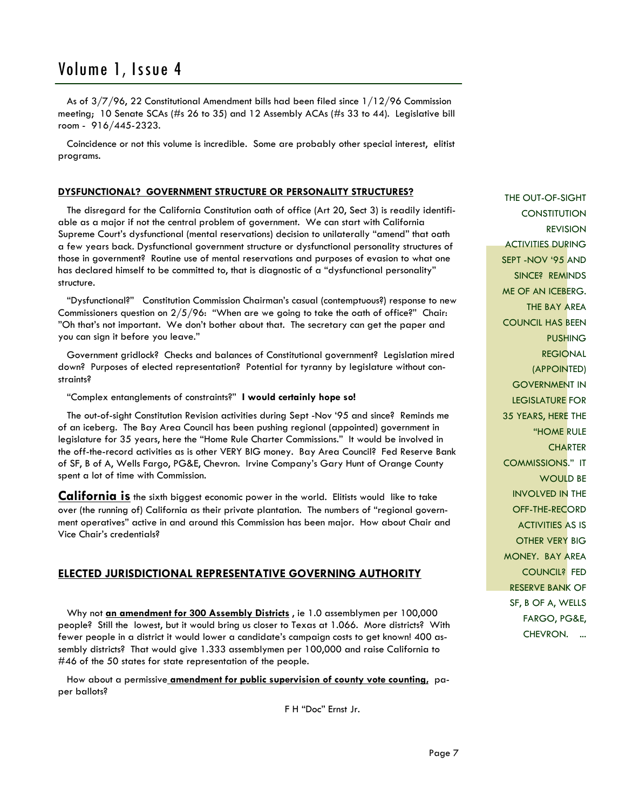As of 3/7/96, 22 Constitutional Amendment bills had been filed since 1/12/96 Commission meeting; 10 Senate SCAs (#s 26 to 35) and 12 Assembly ACAs (#s 33 to 44). Legislative bill room - 916/445-2323.

 Coincidence or not this volume is incredible. Some are probably other special interest, elitist programs.

### **DYSFUNCTIONAL? GOVERNMENT STRUCTURE OR PERSONALITY STRUCTURES?**

 The disregard for the California Constitution oath of office (Art 20, Sect 3) is readily identifiable as a major if not the central problem of government. We can start with California Supreme Court's dysfunctional (mental reservations) decision to unilaterally "amend" that oath a few years back. Dysfunctional government structure or dysfunctional personality structures of those in government? Routine use of mental reservations and purposes of evasion to what one has declared himself to be committed to, that is diagnostic of a "dysfunctional personality" structure.

 "Dysfunctional?" Constitution Commission Chairman's casual (contemptuous?) response to new Commissioners question on  $2/5/96$ : "When are we going to take the oath of office?" Chair: "Oh that's not important. We don't bother about that. The secretary can get the paper and you can sign it before you leave."

 Government gridlock? Checks and balances of Constitutional government? Legislation mired down? Purposes of elected representation? Potential for tyranny by legislature without constraints?

"Complex entanglements of constraints?" **I would certainly hope so!**

 The out-of-sight Constitution Revision activities during Sept -Nov '95 and since? Reminds me of an iceberg. The Bay Area Council has been pushing regional (appointed) government in legislature for 35 years, here the "Home Rule Charter Commissions." It would be involved in the off-the-record activities as is other VERY BIG money. Bay Area Council? Fed Reserve Bank of SF, B of A, Wells Fargo, PG&E, Chevron. Irvine Company's Gary Hunt of Orange County spent a lot of time with Commission.

**California is** the sixth biggest economic power in the world. Elitists would like to take over (the running of) California as their private plantation. The numbers of "regional government operatives" active in and around this Commission has been major. How about Chair and Vice Chair's credentials?

### **ELECTED JURISDICTIONAL REPRESENTATIVE GOVERNING AUTHORITY**

 Why not **an amendment for 300 Assembly Districts** , ie 1.0 assemblymen per 100,000 people? Still the lowest, but it would bring us closer to Texas at 1.066. More districts? With fewer people in a district it would lower a candidate's campaign costs to get known! 400 assembly districts? That would give 1.333 assemblymen per 100,000 and raise California to #46 of the 50 states for state representation of the people.

 How about a permissive **amendment for public supervision of county vote counting,** paper ballots?

F H "Doc" Ernst Jr.

THE OUT-OF-SIGHT **CONSTITUTION** REVISION ACTIVITIES DURING SEPT -NOV '95 AND SINCE? REMINDS ME OF AN ICEBERG. THE BAY AREA COUNCIL HAS BEEN PUSHING REGIONAL (APPOINTED) GOVERNMENT IN LEGISLATURE FOR 35 YEARS, HERE THE "HOME RULE **CHARTER** COMMISSIONS." IT WOULD BE INVOLVED IN THE OFF-THE-RECORD ACTIVITIES AS IS OTHER VERY BIG MONEY. BAY AREA COUNCIL? FED RESERVE BANK OF SF, B OF A, WELLS FARGO, PG&E, CHEVRON. ...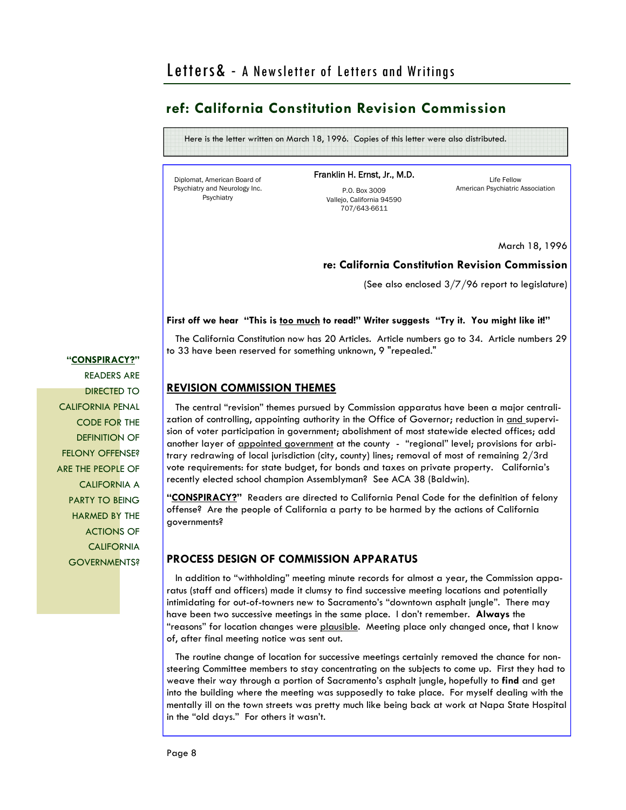Here is the letter written on March 18, 1996. Copies of this letter were also distributed.

Diplomat, American Board of Psychiatry and Neurology Inc. Psychiatry

Franklin H. Ernst, Jr., M.D.

P.O. Box 3009 Vallejo, California 94590 707/643-6611

Life Fellow American Psychiatric Association

March 18, 1996

### **re: California Constitution Revision Commission**

(See also enclosed 3/7/96 report to legislature)

### First off we hear "This is too much to read!" Writer suggests "Try it. You might like it!"

 The California Constitution now has 20 Articles. Article numbers go to 34. Article numbers 29 to 33 have been reserved for something unknown, 9 "repealed."

### **REVISION COMMISSION THEMES**

 The central "revision" themes pursued by Commission apparatus have been a major centralization of controlling, appointing authority in the Office of Governor; reduction in and supervision of voter participation in government; abolishment of most statewide elected offices; add another layer of appointed government at the county - "regional" level; provisions for arbitrary redrawing of local jurisdiction (city, county) lines; removal of most of remaining 2/3rd vote requirements: for state budget, for bonds and taxes on private property. California's recently elected school champion Assemblyman? See ACA 38 (Baldwin).

**"CONSPIRACY?"** Readers are directed to California Penal Code for the definition of felony offense? Are the people of California a party to be harmed by the actions of California governments?

### **PROCESS DESIGN OF COMMISSION APPARATUS**

 In addition to "withholding" meeting minute records for almost a year, the Commission apparatus (staff and officers) made it clumsy to find successive meeting locations and potentially intimidating for out-of-towners new to Sacramento's "downtown asphalt jungle". There may have been two successive meetings in the same place. I don't remember. **Always** the "reasons" for location changes were plausible. Meeting place only changed once, that I know of, after final meeting notice was sent out.

 The routine change of location for successive meetings certainly removed the chance for nonsteering Committee members to stay concentrating on the subjects to come up. First they had to weave their way through a portion of Sacramento's asphalt jungle, hopefully to **find** and get into the building where the meeting was supposedly to take place. For myself dealing with the mentally ill on the town streets was pretty much like being back at work at Napa State Hospital in the "old days." For others it wasn't.

**"CONSPIRACY?"** READERS ARE DIRECTED TO CALIFORNIA PENAL CODE FOR THE DEFINITION OF FELONY OFFENSE? ARE THE PEOPLE OF CALIFORNIA A PARTY TO BEING HARMED BY THE ACTIONS OF **CALIFORNIA GOVERNMENTS?**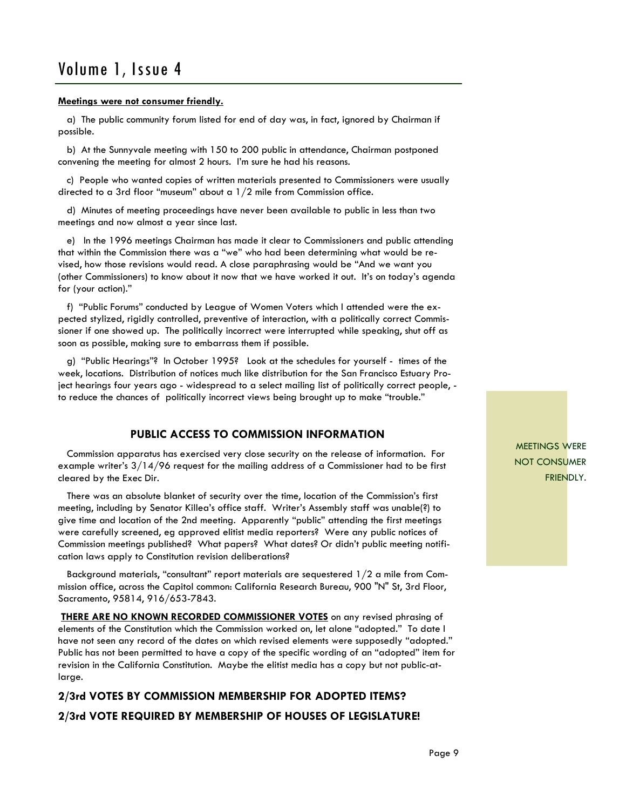#### **Meetings were not consumer friendly.**

 a) The public community forum listed for end of day was, in fact, ignored by Chairman if possible.

 b) At the Sunnyvale meeting with 150 to 200 public in attendance, Chairman postponed convening the meeting for almost 2 hours. I'm sure he had his reasons.

 c) People who wanted copies of written materials presented to Commissioners were usually directed to a 3rd floor "museum" about a 1/2 mile from Commission office.

 d) Minutes of meeting proceedings have never been available to public in less than two meetings and now almost a year since last.

 e) In the 1996 meetings Chairman has made it clear to Commissioners and public attending that within the Commission there was a "we" who had been determining what would be revised, how those revisions would read. A close paraphrasing would be "And we want you (other Commissioners) to know about it now that we have worked it out. It's on today's agenda for (your action)."

 f) "Public Forums" conducted by League of Women Voters which I attended were the expected stylized, rigidly controlled, preventive of interaction, with a politically correct Commissioner if one showed up. The politically incorrect were interrupted while speaking, shut off as soon as possible, making sure to embarrass them if possible.

 g) "Public Hearings"? In October 1995? Look at the schedules for yourself - times of the week, locations. Distribution of notices much like distribution for the San Francisco Estuary Project hearings four years ago - widespread to a select mailing list of politically correct people, to reduce the chances of politically incorrect views being brought up to make "trouble."

### **PUBLIC ACCESS TO COMMISSION INFORMATION**

 Commission apparatus has exercised very close security on the release of information. For example writer's 3/14/96 request for the mailing address of a Commissioner had to be first cleared by the Exec Dir.

 There was an absolute blanket of security over the time, location of the Commission's first meeting, including by Senator Killea's office staff. Writer's Assembly staff was unable(?) to give time and location of the 2nd meeting. Apparently "public" attending the first meetings were carefully screened, eg approved elitist media reporters? Were any public notices of Commission meetings published? What papers? What dates? Or didn't public meeting notification laws apply to Constitution revision deliberations?

 Background materials, "consultant" report materials are sequestered 1/2 a mile from Commission office, across the Capitol common: California Research Bureau, 900 "N" St, 3rd Floor, Sacramento, 95814, 916/653-7843.

**THERE ARE NO KNOWN RECORDED COMMISSIONER VOTES** on any revised phrasing of elements of the Constitution which the Commission worked on, let alone "adopted." To date I have not seen any record of the dates on which revised elements were supposedly "adopted." Public has not been permitted to have a copy of the specific wording of an "adopted" item for revision in the California Constitution. Maybe the elitist media has a copy but not public-atlarge.

### **2/3rd VOTES BY COMMISSION MEMBERSHIP FOR ADOPTED ITEMS? 2/3rd VOTE REQUIRED BY MEMBERSHIP OF HOUSES OF LEGISLATURE!**

MEETINGS WERE NOT CONSUMER FRIENDLY.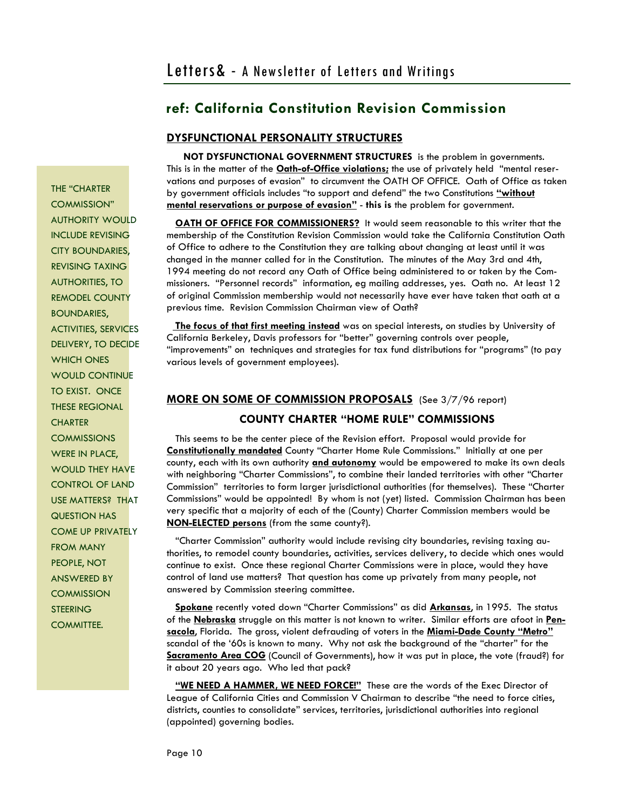ANSWERED BY **COMMISSION STEERING** COMMITTEE.

## **ref: California Constitution Revision Commission**

### **DYSFUNCTIONAL PERSONALITY STRUCTURES**

 **NOT DYSFUNCTIONAL GOVERNMENT STRUCTURES** is the problem in governments. This is in the matter of the **Oath-of-Office violations;** the use of privately held "mental reservations and purposes of evasion" to circumvent the OATH OF OFFICE. Oath of Office as taken by government officials includes "to support and defend" the two Constitutions **"without mental reservations or purpose of evasion"** - **this is** the problem for government.

**OATH OF OFFICE FOR COMMISSIONERS?** It would seem reasonable to this writer that the membership of the Constitution Revision Commission would take the California Constitution Oath of Office to adhere to the Constitution they are talking about changing at least until it was changed in the manner called for in the Constitution. The minutes of the May 3rd and 4th, 1994 meeting do not record any Oath of Office being administered to or taken by the Commissioners. "Personnel records" information, eg mailing addresses, yes. Oath no. At least 12 of original Commission membership would not necessarily have ever have taken that oath at a previous time. Revision Commission Chairman view of Oath?

 **The focus of that first meeting instead** was on special interests, on studies by University of California Berkeley, Davis professors for "better" governing controls over people, "improvements" on techniques and strategies for tax fund distributions for "programs" (to pay various levels of government employees).

### **MORE ON SOME OF COMMISSION PROPOSALS** (See 3/7/96 report)

### **COUNTY CHARTER "HOME RULE" COMMISSIONS**

 This seems to be the center piece of the Revision effort. Proposal would provide for **Constitutionally mandated** County "Charter Home Rule Commissions." Initially at one per county, each with its own authority **and autonomy** would be empowered to make its own deals with neighboring "Charter Commissions", to combine their landed territories with other "Charter Commission" territories to form larger jurisdictional authorities (for themselves). These "Charter Commissions" would be appointed! By whom is not (yet) listed. Commission Chairman has been very specific that a majority of each of the (County) Charter Commission members would be **NON-ELECTED persons** (from the same county?).

 "Charter Commission" authority would include revising city boundaries, revising taxing authorities, to remodel county boundaries, activities, services delivery, to decide which ones would continue to exist. Once these regional Charter Commissions were in place, would they have control of land use matters? That question has come up privately from many people, not answered by Commission steering committee.

 **Spokane** recently voted down "Charter Commissions" as did **Arkansas**, in 1995. The status of the **Nebraska** struggle on this matter is not known to writer. Similar efforts are afoot in **Pensacola**, Florida. The gross, violent defrauding of voters in the **Miami-Dade County "Metro"** scandal of the '60s is known to many. Why not ask the background of the "charter" for the **Sacramento Area COG** (Council of Governments), how it was put in place, the vote (fraud?) for it about 20 years ago. Who led that pack?

 **"WE NEED A HAMMER, WE NEED FORCE!"** These are the words of the Exec Director of League of California Cities and Commission V Chairman to describe "the need to force cities, districts, counties to consolidate" services, territories, jurisdictional authorities into regional (appointed) governing bodies.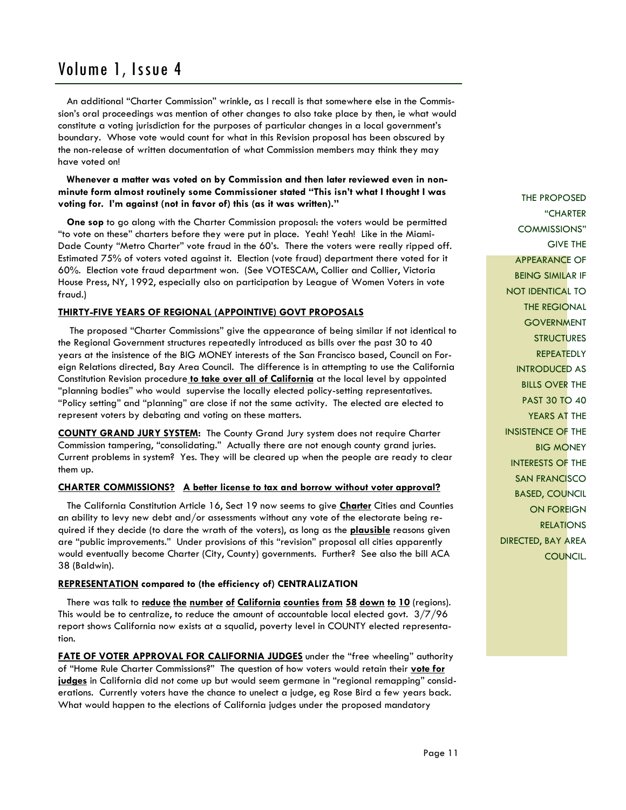An additional "Charter Commission" wrinkle, as I recall is that somewhere else in the Commission's oral proceedings was mention of other changes to also take place by then, ie what would constitute a voting jurisdiction for the purposes of particular changes in a local government's boundary. Whose vote would count for what in this Revision proposal has been obscured by the non-release of written documentation of what Commission members may think they may have voted on!

 **Whenever a matter was voted on by Commission and then later reviewed even in nonminute form almost routinely some Commissioner stated "This isn't what I thought I was voting for. I'm against (not in favor of) this (as it was written)."** 

 **One sop** to go along with the Charter Commission proposal: the voters would be permitted "to vote on these" charters before they were put in place. Yeah! Yeah! Like in the Miami-Dade County "Metro Charter" vote fraud in the 60's. There the voters were really ripped off. Estimated 75% of voters voted against it. Election (vote fraud) department there voted for it 60%. Election vote fraud department won. (See VOTESCAM, Collier and Collier, Victoria House Press, NY, 1992, especially also on participation by League of Women Voters in vote fraud.)

### **THIRTY-FIVE YEARS OF REGIONAL (APPOINTIVE) GOVT PROPOSALS**

 The proposed "Charter Commissions" give the appearance of being similar if not identical to the Regional Government structures repeatedly introduced as bills over the past 30 to 40 years at the insistence of the BIG MONEY interests of the San Francisco based, Council on Foreign Relations directed, Bay Area Council. The difference is in attempting to use the California Constitution Revision procedure **to take over all of California** at the local level by appointed "planning bodies" who would supervise the locally elected policy-setting representatives. "Policy setting" and "planning" are close if not the same activity. The elected are elected to represent voters by debating and voting on these matters.

**COUNTY GRAND JURY SYSTEM:** The County Grand Jury system does not require Charter Commission tampering, "consolidating." Actually there are not enough county grand juries. Current problems in system? Yes. They will be cleared up when the people are ready to clear them up.

### **CHARTER COMMISSIONS? A better license to tax and borrow without voter approval?**

 The California Constitution Article 16, Sect 19 now seems to give **Charter** Cities and Counties an ability to levy new debt and/or assessments without any vote of the electorate being required if they decide (to dare the wrath of the voters), as long as the **plausible** reasons given are "public improvements." Under provisions of this "revision" proposal all cities apparently would eventually become Charter (City, County) governments. Further? See also the bill ACA 38 (Baldwin).

### **REPRESENTATION compared to (the efficiency of) CENTRALIZATION**

 There was talk to **reduce the number of California counties from 58 down to 10** (regions). This would be to centralize, to reduce the amount of accountable local elected govt. 3/7/96 report shows California now exists at a squalid, poverty level in COUNTY elected representation.

**FATE OF VOTER APPROVAL FOR CALIFORNIA JUDGES** under the "free wheeling" authority of "Home Rule Charter Commissions?" The question of how voters would retain their **vote for judges** in California did not come up but would seem germane in "regional remapping" considerations. Currently voters have the chance to unelect a judge, eg Rose Bird a few years back. What would happen to the elections of California judges under the proposed mandatory

THE PROPOSED "CHARTER COMMISSIONS" GIVE THE APPEARANCE OF BEING SIMILAR IF NOT IDENTICAL TO THE REGIONAL **GOVERNMENT STRUCTURES REPEATEDLY** INTRODUCED AS BILLS OVER THE PAST 30 TO 40 YEARS AT THE INSISTENCE OF THE BIG MONEY INTERESTS OF THE SAN FRANCISCO BASED, COUNCIL ON FOREIGN **RELATIONS** DIRECTED, BAY AREA COUNCIL.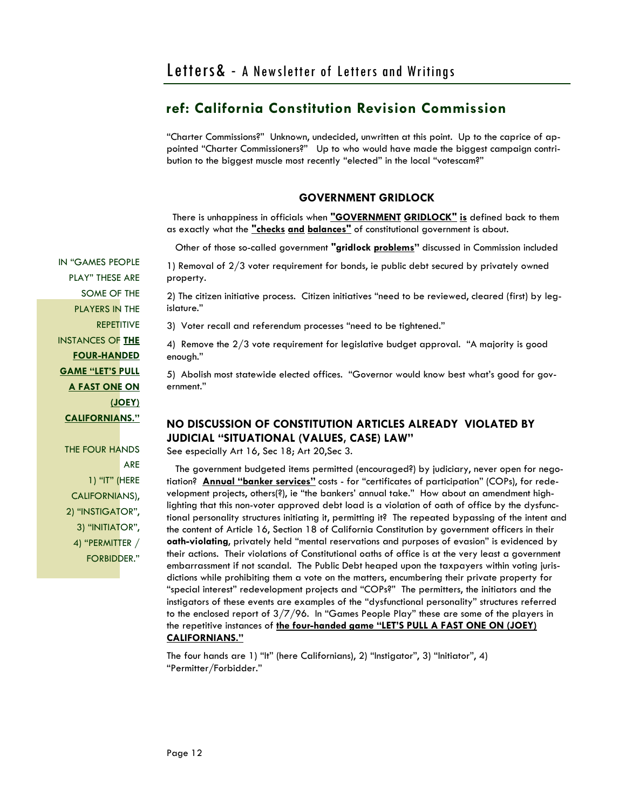"Charter Commissions?" Unknown, undecided, unwritten at this point. Up to the caprice of appointed "Charter Commissioners?" Up to who would have made the biggest campaign contribution to the biggest muscle most recently "elected" in the local "votescam?"

### **GOVERNMENT GRIDLOCK**

 There is unhappiness in officials when **"GOVERNMENT GRIDLOCK" is** defined back to them as exactly what the **"checks and balances"** of constitutional government is about.

Other of those so-called government **"gridlock problems"** discussed in Commission included

1) Removal of 2/3 voter requirement for bonds, ie public debt secured by privately owned property.

2) The citizen initiative process. Citizen initiatives "need to be reviewed, cleared (first) by legislature."

3) Voter recall and referendum processes "need to be tightened."

4) Remove the 2/3 vote requirement for legislative budget approval. "A majority is good enough."

5) Abolish most statewide elected offices. "Governor would know best what's good for government."

### **NO DISCUSSION OF CONSTITUTION ARTICLES ALREADY VIOLATED BY JUDICIAL "SITUATIONAL (VALUES, CASE) LAW"**

See especially Art 16, Sec 18; Art 20,Sec 3.

 The government budgeted items permitted (encouraged?) by judiciary, never open for negotiation? **Annual "banker services"** costs - for "certificates of participation" (COPs), for redevelopment projects, others(?), ie "the bankers' annual take." How about an amendment highlighting that this non-voter approved debt load is a violation of oath of office by the dysfunctional personality structures initiating it, permitting it? The repeated bypassing of the intent and the content of Article 16, Section 18 of California Constitution by government officers in their **oath-violating**, privately held "mental reservations and purposes of evasion" is evidenced by their actions. Their violations of Constitutional oaths of office is at the very least a government embarrassment if not scandal. The Public Debt heaped upon the taxpayers within voting jurisdictions while prohibiting them a vote on the matters, encumbering their private property for "special interest" redevelopment projects and "COPs?" The permitters, the initiators and the instigators of these events are examples of the "dysfunctional personality" structures referred to the enclosed report of 3/7/96. In "Games People Play" these are some of the players in the repetitive instances of **the four-handed game "LET'S PULL A FAST ONE ON (JOEY) CALIFORNIANS."** 

The four hands are 1) "It" (here Californians), 2) "Instigator", 3) "Initiator", 4) "Permitter/Forbidder."

IN "GAMES PEOPLE PLAY" THESE ARE SOME OF THE PLAYERS IN THE **REPETITIVE** INSTANCES OF **THE FOUR-HANDED GAME "LET'S PULL A FAST ONE ON (JOEY) CALIFORNIANS."** 

THE FOUR HANDS ARE 1) "IT" (HERE CALIFORNIANS), 2) "INSTIGATOR", 3) "INITIATOR", 4) "PERMITTER / FORBIDDER."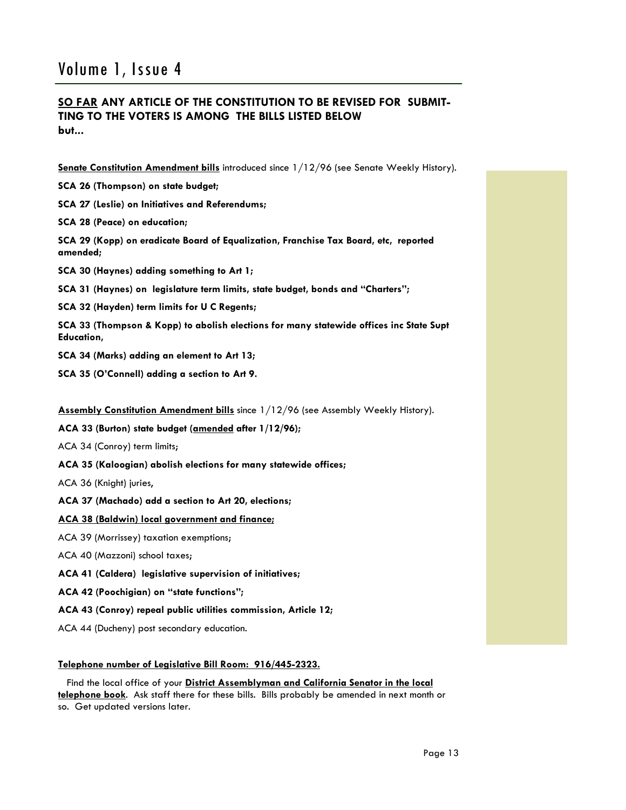### **SO FAR ANY ARTICLE OF THE CONSTITUTION TO BE REVISED FOR SUBMIT-TING TO THE VOTERS IS AMONG THE BILLS LISTED BELOW but...**

**Senate Constitution Amendment bills** introduced since 1/12/96 (see Senate Weekly History).

**SCA 26 (Thompson) on state budget;** 

**SCA 27 (Leslie) on Initiatives and Referendums;** 

**SCA 28 (Peace) on education;** 

**SCA 29 (Kopp) on eradicate Board of Equalization, Franchise Tax Board, etc, reported amended;** 

**SCA 30 (Haynes) adding something to Art 1;** 

**SCA 31 (Haynes) on legislature term limits, state budget, bonds and "Charters";** 

**SCA 32 (Hayden) term limits for U C Regents;** 

**SCA 33 (Thompson & Kopp) to abolish elections for many statewide offices inc State Supt Education,** 

**SCA 34 (Marks) adding an element to Art 13;** 

**SCA 35 (O'Connell) adding a section to Art 9.** 

**Assembly Constitution Amendment bills** since 1/12/96 (see Assembly Weekly History).

**ACA 33 (Burton) state budget (amended after 1/12/96);**

ACA 34 (Conroy) term limits;

**ACA 35 (Kaloogian) abolish elections for many statewide offices;** 

ACA 36 (Knight) juries,

**ACA 37 (Machado) add a section to Art 20, elections;**

**ACA 38 (Baldwin) local government and finance;** 

ACA 39 (Morrissey) taxation exemptions;

ACA 40 (Mazzoni) school taxes;

**ACA 41 (Caldera) legislative supervision of initiatives;** 

**ACA 42 (Poochigian) on "state functions";** 

**ACA 43 (Conroy) repeal public utilities commission, Article 12;** 

ACA 44 (Ducheny) post secondary education.

### **Telephone number of Legislative Bill Room: 916/445-2323.**

 Find the local office of your **District Assemblyman and California Senator in the local telephone book**. Ask staff there for these bills. Bills probably be amended in next month or so. Get updated versions later.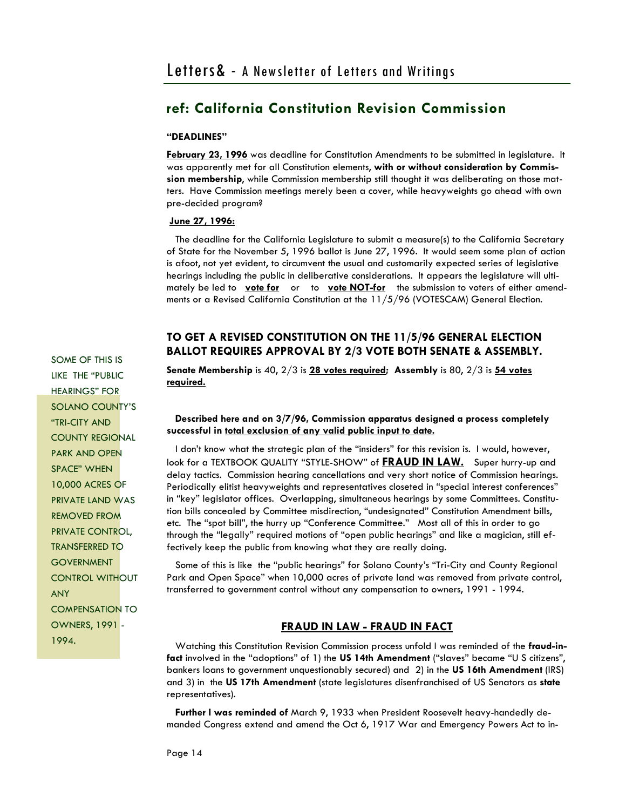#### **"DEADLINES"**

**February 23, 1996** was deadline for Constitution Amendments to be submitted in legislature. It was apparently met for all Constitution elements, **with or without consideration by Commission membership**, while Commission membership still thought it was deliberating on those matters. Have Commission meetings merely been a cover, while heavyweights go ahead with own pre-decided program?

#### **June 27, 1996:**

 The deadline for the California Legislature to submit a measure(s) to the California Secretary of State for the November 5, 1996 ballot is June 27, 1996. It would seem some plan of action is afoot, not yet evident, to circumvent the usual and customarily expected series of legislative hearings including the public in deliberative considerations. It appears the legislature will ultimately be led to **vote for** or to **vote NOT-for** the submission to voters of either amendments or a Revised California Constitution at the 11/5/96 (VOTESCAM) General Election.

### **TO GET A REVISED CONSTITUTION ON THE 11/5/96 GENERAL ELECTION BALLOT REQUIRES APPROVAL BY 2/3 VOTE BOTH SENATE & ASSEMBLY.**

**Senate Membership** is 40, 2/3 is **28 votes required; Assembly** is 80, 2/3 is **54 votes required.**

### **Described here and on 3/7/96, Commission apparatus designed a process completely successful in total exclusion of any valid public input to date.**

 I don't know what the strategic plan of the "insiders" for this revision is. I would, however, look for a TEXTBOOK QUALITY "STYLE-SHOW" of **FRAUD IN LAW.** Super hurry-up and delay tactics. Commission hearing cancellations and very short notice of Commission hearings. Periodically elitist heavyweights and representatives closeted in "special interest conferences" in "key" legislator offices. Overlapping, simultaneous hearings by some Committees. Constitution bills concealed by Committee misdirection, "undesignated" Constitution Amendment bills, etc. The "spot bill", the hurry up "Conference Committee." Most all of this in order to go through the "legally" required motions of "open public hearings" and like a magician, still effectively keep the public from knowing what they are really doing.

 Some of this is like the "public hearings" for Solano County's "Tri-City and County Regional Park and Open Space" when 10,000 acres of private land was removed from private control, transferred to government control without any compensation to owners, 1991 - 1994.

### **FRAUD IN LAW - FRAUD IN FACT**

 Watching this Constitution Revision Commission process unfold I was reminded of the **fraud-infact** involved in the "adoptions" of 1) the **US 14th Amendment** ("slaves" became "U S citizens", bankers loans to government unquestionably secured) and 2) in the **US 16th Amendment** (IRS) and 3) in the **US 17th Amendment** (state legislatures disenfranchised of US Senators as **state**  representatives).

 **Further I was reminded of** March 9, 1933 when President Roosevelt heavy-handedly demanded Congress extend and amend the Oct 6, 1917 War and Emergency Powers Act to in-

SOME OF THIS IS LIKE THE "PUBLIC HEARINGS" FOR SOLANO COUNTY'S "TRI-CITY AND COUNTY REGIONAL PARK AND OPEN SPACE" WHEN 10,000 ACRES OF PRIVATE LAND WAS REMOVED FROM PRIVATE CONTROL, TRANSFERRED TO GOVERNMENT CONTROL WITHOUT ANY COMPENSATION TO OWNERS, 1991 - 1994.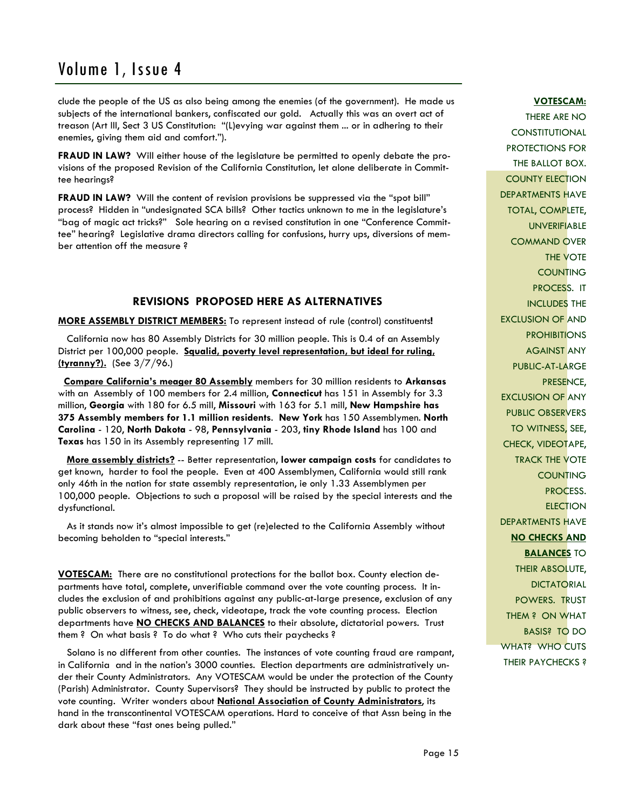clude the people of the US as also being among the enemies (of the government). He made us subjects of the international bankers, confiscated our gold. Actually this was an overt act of treason (Art III, Sect 3 US Constitution: "(L)evying war against them ... or in adhering to their enemies, giving them aid and comfort.").

**FRAUD IN LAW?** Will either house of the legislature be permitted to openly debate the provisions of the proposed Revision of the California Constitution, let alone deliberate in Committee hearings?

**FRAUD IN LAW?** Will the content of revision provisions be suppressed via the "spot bill" process? Hidden in "undesignated SCA bills? Other tactics unknown to me in the legislature's "bag of magic act tricks?" Sole hearing on a revised constitution in one "Conference Committee" hearing? Legislative drama directors calling for confusions, hurry ups, diversions of member attention off the measure ?

### **REVISIONS PROPOSED HERE AS ALTERNATIVES**

**MORE ASSEMBLY DISTRICT MEMBERS:** To represent instead of rule (control) constituents**!** 

 California now has 80 Assembly Districts for 30 million people. This is 0.4 of an Assembly District per 100,000 people. **Squalid, poverty level representation, but ideal for ruling, (tyranny?).** (See 3/7/96.)

 **Compare California's meager 80 Assembly** members for 30 million residents to **Arkansas**  with an Assembly of 100 members for 2.4 million, **Connecticut** has 151 in Assembly for 3.3 million, **Georgia** with 180 for 6.5 mill, **Missouri** with 163 for 5.1 mill, **New Hampshire has 375 Assembly members for 1.1 million residents**. **New York** has 150 Assemblymen. **North Carolina** - 120, **North Dakota** - 98, **Pennsylvania** - 203, **tiny Rhode Island** has 100 and **Texas** has 150 in its Assembly representing 17 mill.

 **More assembly districts?** -- Better representation, **lower campaign costs** for candidates to get known, harder to fool the people. Even at 400 Assemblymen, California would still rank only 46th in the nation for state assembly representation, ie only 1.33 Assemblymen per 100,000 people. Objections to such a proposal will be raised by the special interests and the dysfunctional.

 As it stands now it's almost impossible to get (re)elected to the California Assembly without becoming beholden to "special interests."

**VOTESCAM:** There are no constitutional protections for the ballot box. County election departments have total, complete, unverifiable command over the vote counting process. It includes the exclusion of and prohibitions against any public-at-large presence, exclusion of any public observers to witness, see, check, videotape, track the vote counting process. Election departments have **NO CHECKS AND BALANCES** to their absolute, dictatorial powers. Trust them ? On what basis ? To do what ? Who cuts their paychecks ?

 Solano is no different from other counties. The instances of vote counting fraud are rampant, in California and in the nation's 3000 counties. Election departments are administratively under their County Administrators. Any VOTESCAM would be under the protection of the County (Parish) Administrator. County Supervisors? They should be instructed by public to protect the vote counting. Writer wonders about **National Association of County Administrators**, its hand in the transcontinental VOTESCAM operations. Hard to conceive of that Assn being in the dark about these "fast ones being pulled."

### **VOTESCAM:**

THERE ARE NO CONSTITUTIONAL PROTECTIONS FOR THE BALLOT BOX. COUNTY ELECTION DEPARTMENTS HAVE TOTAL, COMPLETE, UNVERIFIABLE COMMAND OVER THE VOTE COUNTING PROCESS. IT INCLUDES THE EXCLUSION OF AND **PROHIBITIONS** AGAINST ANY PUBLIC-AT-LARGE PRESENCE, EXCLUSION OF ANY PUBLIC OBSERVERS TO WITNESS, SEE, CHECK, VIDEOTAPE, TRACK THE VOTE **COUNTING** PROCESS. **ELECTION** DEPARTMENTS HAVE **NO CHECKS AND BALANCES** TO **THEIR ABSOLUTE, DICTATORIAL** POWERS. TRUST THEM ? ON WHAT BASIS? TO DO WHAT? WHO CUTS THEIR PAYCHECKS ?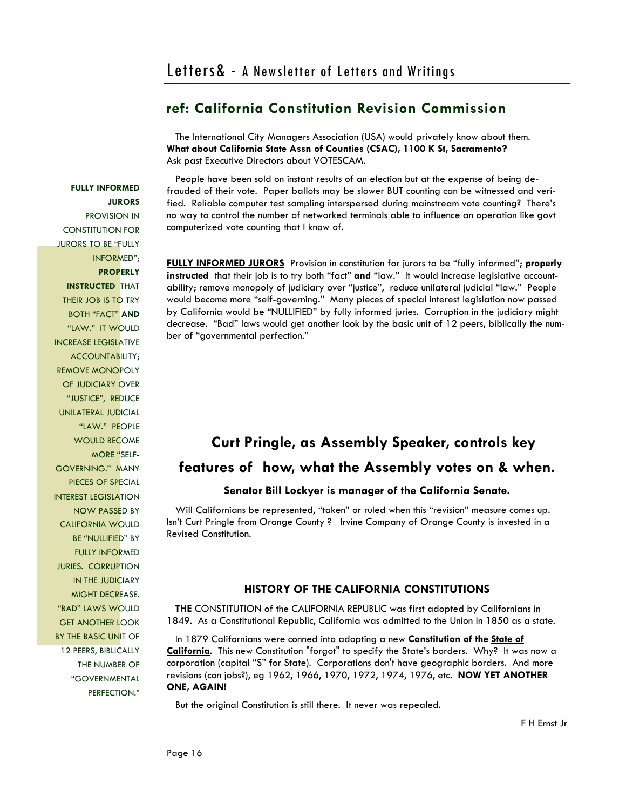The International City Managers Association (USA) would privately know about them. **What about California State Assn of Counties (CSAC), 1100 K St, Sacramento?** Ask past Executive Directors about VOTESCAM.

 People have been sold on instant results of an election but at the expense of being defrauded of their vote. Paper ballots may be slower BUT counting can be witnessed and verified. Reliable computer test sampling interspersed during mainstream vote counting? There's no way to control the number of networked terminals able to influence an operation like govt computerized vote counting that I know of.

**FULLY INFORMED JURORS** Provision in constitution for jurors to be "fully informed"; **properly instructed** that their job is to try both "fact" **and** "law." It would increase legislative accountability; remove monopoly of judiciary over "justice", reduce unilateral judicial "law." People would become more "self-governing."Many pieces of special interest legislation now passed by California would be "NULLIFIED" by fully informed juries. Corruption in the judiciary might decrease. "Bad" laws would get another look by the basic unit of 12 peers, biblically the number of "governmental perfection."

## **Curt Pringle, as Assembly Speaker, controls key features of how, what the Assembly votes on & when.**

### **Senator Bill Lockyer is manager of the California Senate.**

 Will Californians be represented, "taken" or ruled when this "revision" measure comes up. Isn't Curt Pringle from Orange County ? Irvine Company of Orange County is invested in a Revised Constitution.

### **HISTORY OF THE CALIFORNIA CONSTITUTIONS**

 **THE** CONSTITUTION of the CALIFORNIA REPUBLIC was first adopted by Californians in 1849. As a Constitutional Republic, California was admitted to the Union in 1850 as a state.

 In 1879 Californians were conned into adopting a new **Constitution of the State of California**. This new Constitution "forgot" to specify the State's borders. Why? It was now a corporation (capital "S" for State). Corporations don't have geographic borders. And more revisions (con jobs?), eg 1962, 1966, 1970, 1972, 1974, 1976, etc. **NOW YET ANOTHER ONE, AGAIN!**

But the original Constitution is still there. It never was repealed.

PROVISION IN CONSTITUTION FOR JURORS TO BE "FULLY INFORMED"; **PROPERLY INSTRUCTED** THAT THEIR JOB IS TO TRY BOTH "FACT" **AND** "LAW." IT WOULD INCREASE LEGISLATIVE ACCOUNTABILITY; REMOVE MONOPOLY OF JUDICIARY OVER "JUSTICE", REDUCE UNILATERAL JUDICIAL "LAW." PEOPLE WOULD BECOME MORE "SELF-GOVERNING."MANY PIECES OF SPECIAL INTEREST LEGISLATION NOW PASSED BY CALIFORNIA WOULD BE "NULLIFIED" BY FULLY INFORMED JURIES. CORRUPTION IN THE JUDICIARY MIGHT DECREASE. "BAD" LAWS WOULD GET ANOTHER LOOK BY THE BASIC UNIT OF 12 PEERS, BIBLICALLY THE NUMBER OF "GOVERNMENTAL

PERFECTION."

**FULLY INFORMED** 

**JURORS**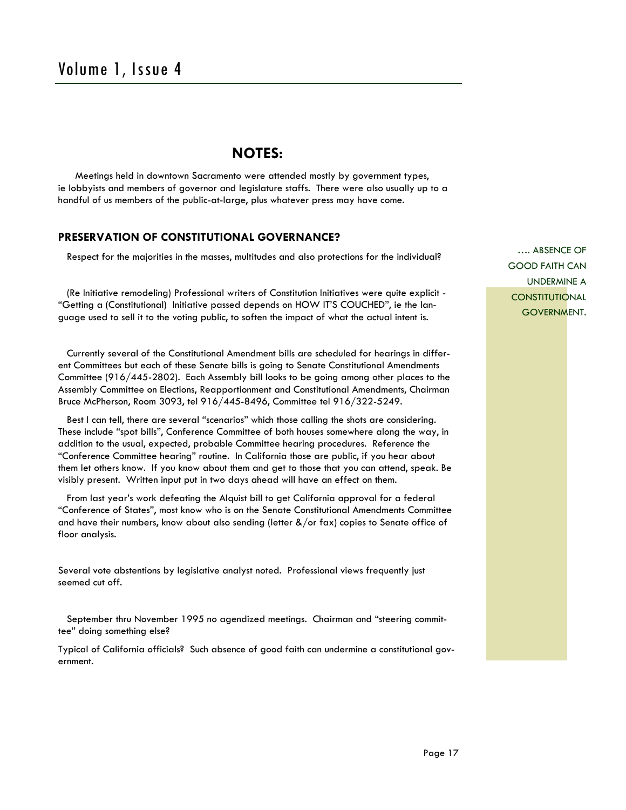### **NOTES:**

 Meetings held in downtown Sacramento were attended mostly by government types, ie lobbyists and members of governor and legislature staffs. There were also usually up to a handful of us members of the public-at-large, plus whatever press may have come.

### **PRESERVATION OF CONSTITUTIONAL GOVERNANCE?**

Respect for the majorities in the masses, multitudes and also protections for the individual?

 (Re Initiative remodeling) Professional writers of Constitution Initiatives were quite explicit - "Getting a (Constitutional) Initiative passed depends on HOW IT'S COUCHED", ie the language used to sell it to the voting public, to soften the impact of what the actual intent is.

 Currently several of the Constitutional Amendment bills are scheduled for hearings in different Committees but each of these Senate bills is going to Senate Constitutional Amendments Committee (916/445-2802). Each Assembly bill looks to be going among other places to the Assembly Committee on Elections, Reapportionment and Constitutional Amendments, Chairman Bruce McPherson, Room 3093, tel 916/445-8496, Committee tel 916/322-5249.

 Best I can tell, there are several "scenarios" which those calling the shots are considering. These include "spot bills", Conference Committee of both houses somewhere along the way, in addition to the usual, expected, probable Committee hearing procedures. Reference the "Conference Committee hearing" routine. In California those are public, if you hear about them let others know. If you know about them and get to those that you can attend, speak. Be visibly present. Written input put in two days ahead will have an effect on them.

 From last year's work defeating the Alquist bill to get California approval for a federal "Conference of States", most know who is on the Senate Constitutional Amendments Committee and have their numbers, know about also sending (letter  $\frac{a}{x}$  or fax) copies to Senate office of floor analysis.

Several vote abstentions by legislative analyst noted. Professional views frequently just seemed cut off.

 September thru November 1995 no agendized meetings. Chairman and "steering committee" doing something else?

Typical of California officials? Such absence of good faith can undermine a constitutional government.

…. ABSENCE OF GOOD FAITH CAN UNDERMINE A **CONSTITUTIONAL** GOVERNMENT.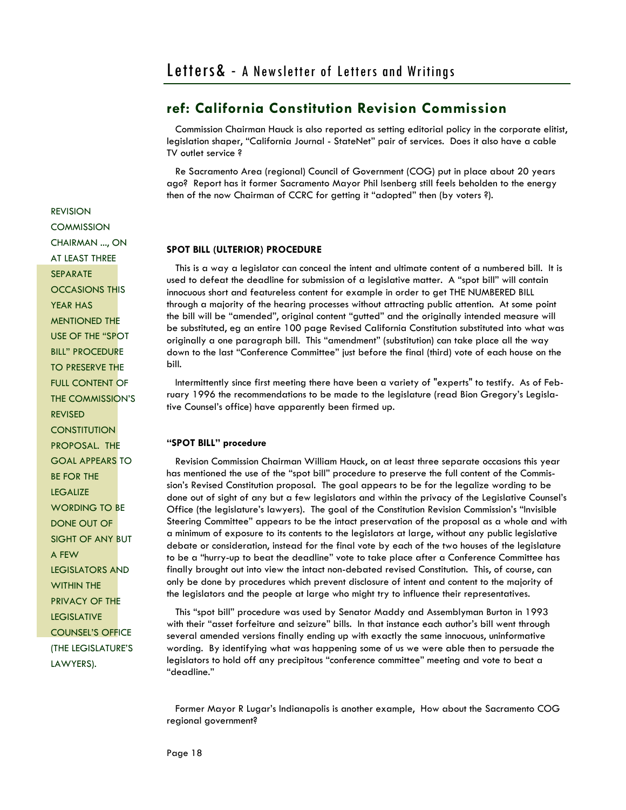Commission Chairman Hauck is also reported as setting editorial policy in the corporate elitist, legislation shaper, "California Journal - StateNet" pair of services. Does it also have a cable TV outlet service ?

 Re Sacramento Area (regional) Council of Government (COG) put in place about 20 years ago? Report has it former Sacramento Mayor Phil Isenberg still feels beholden to the energy then of the now Chairman of CCRC for getting it "adopted" then (by voters ?).

### **SPOT BILL (ULTERIOR) PROCEDURE**

 This is a way a legislator can conceal the intent and ultimate content of a numbered bill. It is used to defeat the deadline for submission of a legislative matter. A "spot bill" will contain innocuous short and featureless content for example in order to get THE NUMBERED BILL through a majority of the hearing processes without attracting public attention. At some point the bill will be "amended", original content "gutted" and the originally intended measure will be substituted, eg an entire 100 page Revised California Constitution substituted into what was originally a one paragraph bill. This "amendment" (substitution) can take place all the way down to the last "Conference Committee" just before the final (third) vote of each house on the bill.

Intermittently since first meeting there have been a variety of "experts" to testify. As of February 1996 the recommendations to be made to the legislature (read Bion Gregory's Legislative Counsel's office) have apparently been firmed up.

### **"SPOT BILL" procedure**

 Revision Commission Chairman William Hauck, on at least three separate occasions this year has mentioned the use of the "spot bill" procedure to preserve the full content of the Commission's Revised Constitution proposal. The goal appears to be for the legalize wording to be done out of sight of any but a few legislators and within the privacy of the Legislative Counsel's Office (the legislature's lawyers). The goal of the Constitution Revision Commission's "Invisible Steering Committee" appears to be the intact preservation of the proposal as a whole and with a minimum of exposure to its contents to the legislators at large, without any public legislative debate or consideration, instead for the final vote by each of the two houses of the legislature to be a "hurry-up to beat the deadline" vote to take place after a Conference Committee has finally brought out into view the intact non-debated revised Constitution. This, of course, can only be done by procedures which prevent disclosure of intent and content to the majority of the legislators and the people at large who might try to influence their representatives.

 This "spot bill" procedure was used by Senator Maddy and Assemblyman Burton in 1993 with their "asset forfeiture and seizure" bills. In that instance each author's bill went through several amended versions finally ending up with exactly the same innocuous, uninformative wording. By identifying what was happening some of us we were able then to persuade the legislators to hold off any precipitous "conference committee" meeting and vote to beat a "deadline."

 Former Mayor R Lugar's Indianapolis is another example, How about the Sacramento COG regional government?

REVISION **COMMISSION** CHAIRMAN ..., ON AT LEAST THREE **SEPARATE** OCCASIONS THIS YEAR HAS MENTIONED THE USE OF THE "SPOT BILL" PROCEDURE TO PRESERVE THE FULL CONTENT OF THE COMMISSION'S REVISED **CONSTITUTION** PROPOSAL. THE GOAL APPEARS TO BE FOR THE **LEGALIZE** WORDING TO BE DONE OUT OF SIGHT OF ANY BUT A FEW LEGISLATORS AND WITHIN THE PRIVACY OF THE LEGISLATIVE COUNSEL'S OFFICE (THE LEGISLATURE'S LAWYERS).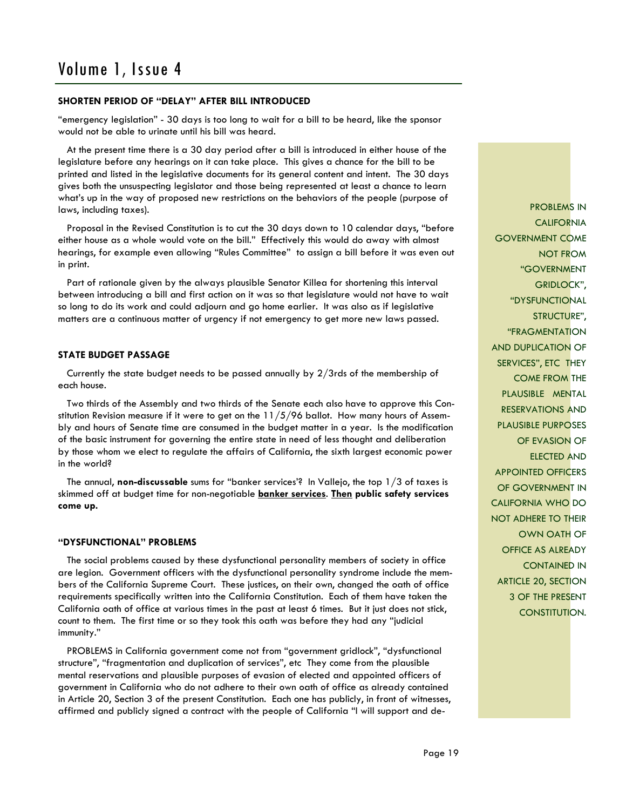### **SHORTEN PERIOD OF "DELAY" AFTER BILL INTRODUCED**

"emergency legislation" - 30 days is too long to wait for a bill to be heard, like the sponsor would not be able to urinate until his bill was heard.

 At the present time there is a 30 day period after a bill is introduced in either house of the legislature before any hearings on it can take place. This gives a chance for the bill to be printed and listed in the legislative documents for its general content and intent. The 30 days gives both the unsuspecting legislator and those being represented at least a chance to learn what's up in the way of proposed new restrictions on the behaviors of the people (purpose of laws, including taxes).

 Proposal in the Revised Constitution is to cut the 30 days down to 10 calendar days, "before either house as a whole would vote on the bill." Effectively this would do away with almost hearings, for example even allowing "Rules Committee" to assign a bill before it was even out in print.

 Part of rationale given by the always plausible Senator Killea for shortening this interval between introducing a bill and first action on it was so that legislature would not have to wait so long to do its work and could adjourn and go home earlier. It was also as if legislative matters are a continuous matter of urgency if not emergency to get more new laws passed.

### **STATE BUDGET PASSAGE**

 Currently the state budget needs to be passed annually by 2/3rds of the membership of each house.

 Two thirds of the Assembly and two thirds of the Senate each also have to approve this Constitution Revision measure if it were to get on the  $11/5/96$  ballot. How many hours of Assembly and hours of Senate time are consumed in the budget matter in a year. Is the modification of the basic instrument for governing the entire state in need of less thought and deliberation by those whom we elect to regulate the affairs of California, the sixth largest economic power in the world?

 The annual, **non-discussable** sums for "banker services'? In Vallejo, the top 1/3 of taxes is skimmed off at budget time for non-negotiable **banker services**. **Then public safety services come up.** 

### **"DYSFUNCTIONAL" PROBLEMS**

 The social problems caused by these dysfunctional personality members of society in office are legion. Government officers with the dysfunctional personality syndrome include the members of the California Supreme Court. These justices, on their own, changed the oath of office requirements specifically written into the California Constitution. Each of them have taken the California oath of office at various times in the past at least 6 times. But it just does not stick, count to them. The first time or so they took this oath was before they had any "judicial immunity."

 PROBLEMS in California government come not from "government gridlock", "dysfunctional structure", "fragmentation and duplication of services", etc They come from the plausible mental reservations and plausible purposes of evasion of elected and appointed officers of government in California who do not adhere to their own oath of office as already contained in Article 20, Section 3 of the present Constitution. Each one has publicly, in front of witnesses, affirmed and publicly signed a contract with the people of California "I will support and de-

PROBLEMS IN **CALIFORNIA** GOVERNMENT COME NOT FROM "GOVERNMENT GRIDLOCK", "DYSFUNCTIONAL STRUCTURE", "FRAGMENTATION AND DUPLICATION OF SERVICES", ETC THEY COME FROM THE PLAUSIBLE MENTAL RESERVATIONS AND PLAUSIBLE PURPOSES OF EVASION OF ELECTED AND APPOINTED OFFICERS OF GOVERNMENT IN CALIFORNIA WHO DO NOT ADHERE TO THEIR OWN OATH OF OFFICE AS ALREADY CONTAINED IN ARTICLE 20, SECTION 3 OF THE PRESENT CONSTITUTION.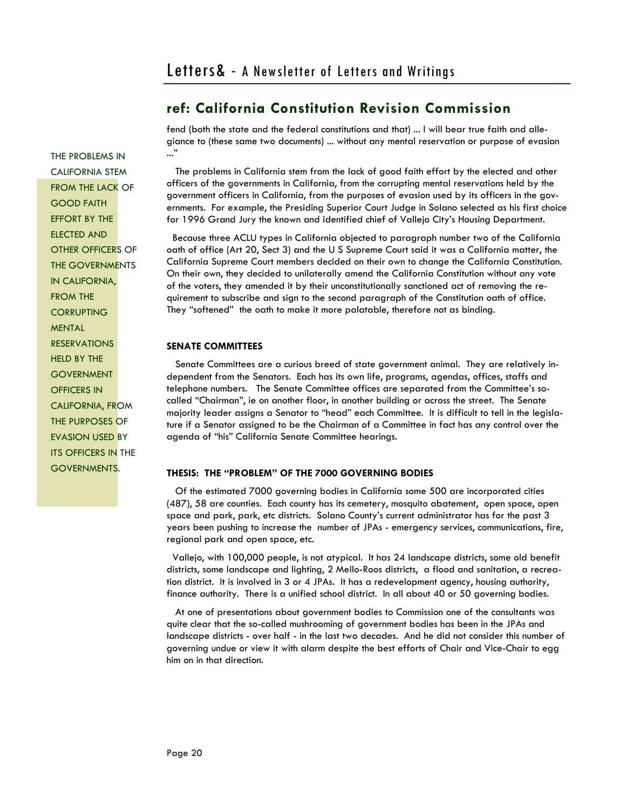fend (both the state and the federal constitutions and that) ... I will bear true faith and allegiance to (these same two documents) ... without any mental reservation or purpose of evasion ..."

 The problems in California stem from the lack of good faith effort by the elected and other officers of the governments in California, from the corrupting mental reservations held by the government officers in California, from the purposes of evasion used by its officers in the governments. For example, the Presiding Superior Court Judge in Solano selected as his first choice for 1996 Grand Jury the known and identified chief of Vallejo City's Housing Department.

 Because three ACLU types in California objected to paragraph number two of the California oath of office (Art 20, Sect 3) and the U S Supreme Court said it was a California matter, the California Supreme Court members decided on their own to change the California Constitution. On their own, they decided to unilaterally amend the California Constitution without any vote of the voters, they amended it by their unconstitutionally sanctioned act of removing the requirement to subscribe and sign to the second paragraph of the Constitution oath of office. They "softened" the oath to make it more palatable, therefore not as binding.

### **SENATE COMMITTEES**

 Senate Committees are a curious breed of state government animal. They are relatively independent from the Senators. Each has its own life, programs, agendas, offices, staffs and telephone numbers. The Senate Committee offices are separated from the Committee's socalled "Chairman", ie on another floor, in another building or across the street. The Senate majority leader assigns a Senator to "head" each Committee. It is difficult to tell in the legislature if a Senator assigned to be the Chairman of a Committee in fact has any control over the agenda of "his" California Senate Committee hearings.

### **THESIS: THE "PROBLEM" OF THE 7000 GOVERNING BODIES**

 Of the estimated 7000 governing bodies in California some 500 are incorporated cities (487), 58 are counties. Each county has its cemetery, mosquito abatement, open space, open space and park, park, etc districts. Solano County's current administrator has for the past 3 years been pushing to increase the number of JPAs - emergency services, communications, fire, regional park and open space, etc.

 Vallejo, with 100,000 people, is not atypical. It has 24 landscape districts, some old benefit districts, some landscape and lighting, 2 Mello-Roos districts, a flood and sanitation, a recreation district. It is involved in 3 or 4 JPAs. It has a redevelopment agency, housing authority, finance authority. There is a unified school district. In all about 40 or 50 governing bodies.

 At one of presentations about government bodies to Commission one of the consultants was quite clear that the so-called mushrooming of government bodies has been in the JPAs and landscape districts - over half - in the last two decades. And he did not consider this number of governing undue or view it with alarm despite the best efforts of Chair and Vice-Chair to egg him on in that direction.

THE PROBLEMS IN CALIFORNIA STEM FROM THE LACK OF GOOD FAITH EFFORT BY THE ELECTED AND OTHER OFFICERS OF THE GOVERNMENTS IN CALIFORNIA, FROM THE **CORRUPTING** MENTAL RESERVATIONS HELD BY THE **GOVERNMENT OFFICERS IN** CALIFORNIA, FROM THE PURPOSES OF EVASION USED BY ITS OFFICERS IN THE GOVERNMENTS.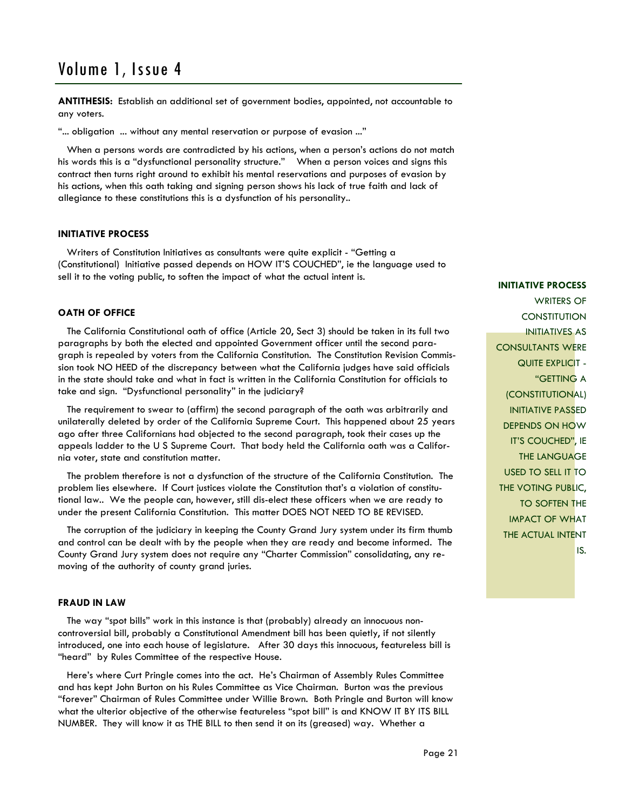**ANTITHESIS:** Establish an additional set of government bodies, appointed, not accountable to any voters.

"... obligation ... without any mental reservation or purpose of evasion ..."

 When a persons words are contradicted by his actions, when a person's actions do not match his words this is a "dysfunctional personality structure." When a person voices and signs this contract then turns right around to exhibit his mental reservations and purposes of evasion by his actions, when this oath taking and signing person shows his lack of true faith and lack of allegiance to these constitutions this is a dysfunction of his personality..

#### **INITIATIVE PROCESS**

 Writers of Constitution Initiatives as consultants were quite explicit - "Getting a (Constitutional) Initiative passed depends on HOW IT'S COUCHED", ie the language used to sell it to the voting public, to soften the impact of what the actual intent is.

#### **OATH OF OFFICE**

 The California Constitutional oath of office (Article 20, Sect 3) should be taken in its full two paragraphs by both the elected and appointed Government officer until the second paragraph is repealed by voters from the California Constitution. The Constitution Revision Commission took NO HEED of the discrepancy between what the California judges have said officials in the state should take and what in fact is written in the California Constitution for officials to take and sign. "Dysfunctional personality" in the judiciary?

 The requirement to swear to (affirm) the second paragraph of the oath was arbitrarily and unilaterally deleted by order of the California Supreme Court. This happened about 25 years ago after three Californians had objected to the second paragraph, took their cases up the appeals ladder to the U S Supreme Court. That body held the California oath was a California voter, state and constitution matter.

 The problem therefore is not a dysfunction of the structure of the California Constitution. The problem lies elsewhere. If Court justices violate the Constitution that's a violation of constitutional law.. We the people can, however, still dis-elect these officers when we are ready to under the present California Constitution. This matter DOES NOT NEED TO BE REVISED.

 The corruption of the judiciary in keeping the County Grand Jury system under its firm thumb and control can be dealt with by the people when they are ready and become informed. The County Grand Jury system does not require any "Charter Commission" consolidating, any removing of the authority of county grand juries.

### **FRAUD IN LAW**

 The way "spot bills" work in this instance is that (probably) already an innocuous noncontroversial bill, probably a Constitutional Amendment bill has been quietly, if not silently introduced, one into each house of legislature. After 30 days this innocuous, featureless bill is "heard" by Rules Committee of the respective House.

 Here's where Curt Pringle comes into the act. He's Chairman of Assembly Rules Committee and has kept John Burton on his Rules Committee as Vice Chairman. Burton was the previous "forever" Chairman of Rules Committee under Willie Brown. Both Pringle and Burton will know what the ulterior objective of the otherwise featureless "spot bill" is and KNOW IT BY ITS BILL NUMBER. They will know it as THE BILL to then send it on its (greased) way. Whether a

#### **INITIATIVE PROCESS**

WRITERS OF **CONSTITUTION** INITIATIVES AS CONSULTANTS WERE QUITE EXPLICIT -"GETTING A (CONSTITUTIONAL) INITIATIVE PASSED DEPENDS ON HOW IT'S COUCHED", IE THE LANGUAGE USED TO SELL IT TO **THE VOTING PUBLIC,** TO SOFTEN THE IMPACT OF WHAT THE ACTUAL INTENT IS.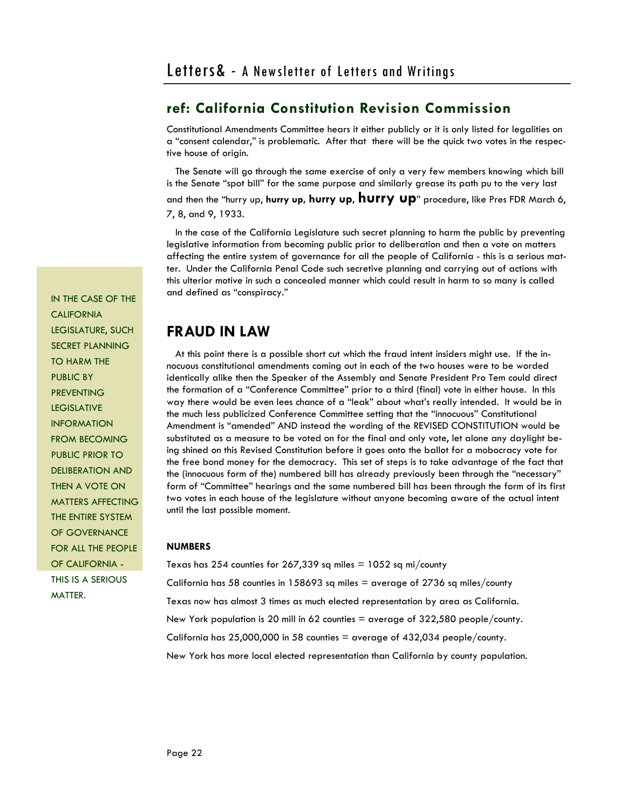Constitutional Amendments Committee hears it either publicly or it is only listed for legalities on a "consent calendar," is problematic. After that there will be the quick two votes in the respective house of origin.

 The Senate will go through the same exercise of only a very few members knowing which bill is the Senate "spot bill" for the same purpose and similarly grease its path pu to the very last

and then the "hurry up, **hurry up, hurry up, hurry up**" procedure, like Pres FDR March 6, 7, 8, and 9, 1933.

 In the case of the California Legislature such secret planning to harm the public by preventing legislative information from becoming public prior to deliberation and then a vote on matters affecting the entire system of governance for all the people of California - this is a serious matter. Under the California Penal Code such secretive planning and carrying out of actions with this ulterior motive in such a concealed manner which could result in harm to so many is called and defined as "conspiracy."

## **FRAUD IN LAW**

 At this point there is a possible short cut which the fraud intent insiders might use. If the innocuous constitutional amendments coming out in each of the two houses were to be worded identically alike then the Speaker of the Assembly and Senate President Pro Tem could direct the formation of a "Conference Committee" prior to a third (final) vote in either house. In this way there would be even lees chance of a "leak" about what's really intended. It would be in the much less publicized Conference Committee setting that the "innocuous" Constitutional Amendment is "amended" AND instead the wording of the REVISED CONSTITUTION would be substituted as a measure to be voted on for the final and only vote, let alone any daylight being shined on this Revised Constitution before it goes onto the ballot for a mobocracy vote for the free bond money for the democracy. This set of steps is to take advantage of the fact that the (innocuous form of the) numbered bill has already previously been through the "necessary" form of "Committee" hearings and the same numbered bill has been through the form of its first two votes in each house of the legislature without anyone becoming aware of the actual intent until the last possible moment.

### **NUMBERS**

Texas has 254 counties for 267,339 sq miles  $= 1052$  sq mi/county California has 58 counties in 158693 sq miles  $=$  average of 2736 sq miles/county Texas now has almost 3 times as much elected representation by area as California. New York population is 20 mill in 62 counties = average of 322,580 people/county. California has  $25,000,000$  in 58 counties = average of  $432,034$  people/county. New York has more local elected representation than California by county population.

IN THE CASE OF THE **CALIFORNIA** LEGISLATURE, SUCH SECRET PLANNING TO HARM THE PUBLIC BY **PREVENTING** LEGISLATIVE INFORMATION FROM BECOMING PUBLIC PRIOR TO DELIBERATION AND THEN A VOTE ON MATTERS AFFECTING THE ENTIRE SYSTEM OF GOVERNANCE FOR ALL THE PEOPLE OF CALIFORNIA - THIS IS A SERIOUS MATTER.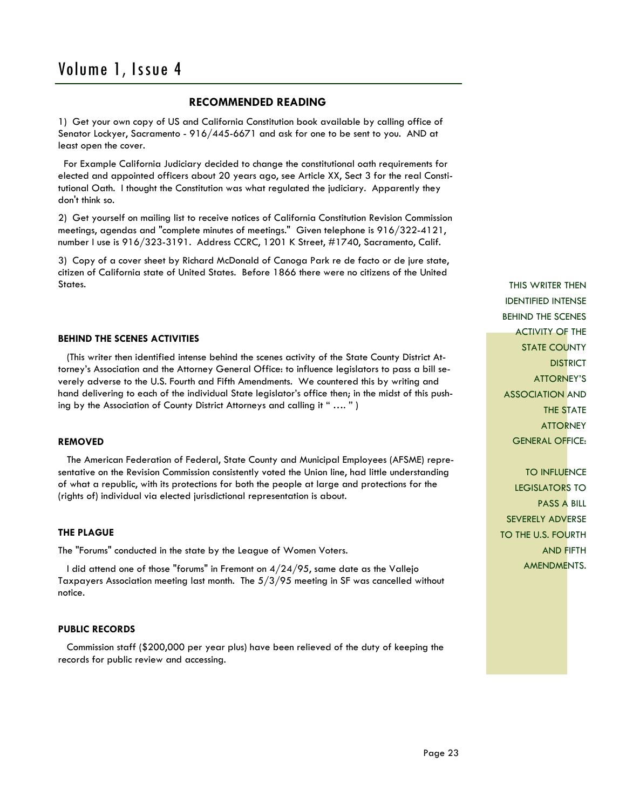### **RECOMMENDED READING**

1) Get your own copy of US and California Constitution book available by calling office of Senator Lockyer, Sacramento - 916/445-6671 and ask for one to be sent to you. AND at least open the cover.

 For Example California Judiciary decided to change the constitutional oath requirements for elected and appointed officers about 20 years ago, see Article XX, Sect 3 for the real Constitutional Oath. I thought the Constitution was what regulated the judiciary. Apparently they don't think so.

2) Get yourself on mailing list to receive notices of California Constitution Revision Commission meetings, agendas and "complete minutes of meetings." Given telephone is 916/322-4121, number I use is 916/323-3191. Address CCRC, 1201 K Street, #1740, Sacramento, Calif.

3) Copy of a cover sheet by Richard McDonald of Canoga Park re de facto or de jure state, citizen of California state of United States. Before 1866 there were no citizens of the United States.

### **BEHIND THE SCENES ACTIVITIES**

 (This writer then identified intense behind the scenes activity of the State County District Attorney's Association and the Attorney General Office: to influence legislators to pass a bill severely adverse to the U.S. Fourth and Fifth Amendments. We countered this by writing and hand delivering to each of the individual State legislator's office then; in the midst of this pushing by the Association of County District Attorneys and calling it " …. " )

#### **REMOVED**

 The American Federation of Federal, State County and Municipal Employees (AFSME) representative on the Revision Commission consistently voted the Union line, had little understanding of what a republic, with its protections for both the people at large and protections for the (rights of) individual via elected jurisdictional representation is about.

#### **THE PLAGUE**

The "Forums" conducted in the state by the League of Women Voters.

I did attend one of those "forums" in Fremont on  $4/24/95$ , same date as the Vallejo Taxpayers Association meeting last month. The 5/3/95 meeting in SF was cancelled without notice.

### **PUBLIC RECORDS**

 Commission staff (\$200,000 per year plus) have been relieved of the duty of keeping the records for public review and accessing.

THIS WRITER THEN IDENTIFIED INTENSE BEHIND THE SCENES ACTIVITY OF THE STATE COUNTY **DISTRICT** ATTORNEY'S ASSOCIATION AND THE STATE **ATTORNEY** GENERAL OFFICE:

TO INFLUENCE LEGISLATORS TO PASS A BILL SEVERELY ADVERSE TO THE U.S. FOURTH AND FIFTH AMENDMENTS.